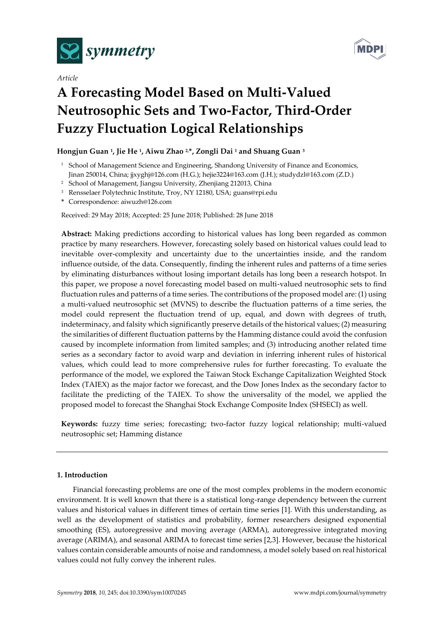

*Article*



# **A Forecasting Model Based on Multi-Valued Neutrosophic Sets and Two-Factor, Third-Order Fuzzy Fluctuation Logical Relationships**

# **Hongjun Guan <sup>1</sup> , Jie He <sup>1</sup> , Aiwu Zhao 2,\*, Zongli Dai <sup>1</sup> and Shuang Guan <sup>3</sup>**

- <sup>1</sup> School of Management Science and Engineering, Shandong University of Finance and Economics, Jinan 250014, China; jjxyghj@126.com (H.G.); hejie3224@163.com (J.H.); studydzl@163.com (Z.D.)
- <sup>2</sup> School of Management, Jiangsu University, Zhenjiang 212013, China
- <sup>3</sup> Rensselaer Polytechnic Institute, Troy, NY 12180, USA; guans@rpi.edu
- **\*** Correspondence: aiwuzh@126.com

Received: 29 May 2018; Accepted: 25 June 2018; Published: 28 June 2018

**Abstract:** Making predictions according to historical values has long been regarded as common practice by many researchers. However, forecasting solely based on historical values could lead to inevitable over-complexity and uncertainty due to the uncertainties inside, and the random influence outside, of the data. Consequently, finding the inherent rules and patterns of a time series by eliminating disturbances without losing important details has long been a research hotspot. In this paper, we propose a novel forecasting model based on multi-valued neutrosophic sets to find fluctuation rules and patterns of a time series. The contributions of the proposed model are: (1) using a multi-valued neutrosophic set (MVNS) to describe the fluctuation patterns of a time series, the model could represent the fluctuation trend of up, equal, and down with degrees of truth, indeterminacy, and falsity which significantly preserve details of the historical values; (2) measuring the similarities of different fluctuation patterns by the Hamming distance could avoid the confusion caused by incomplete information from limited samples; and (3) introducing another related time series as a secondary factor to avoid warp and deviation in inferring inherent rules of historical values, which could lead to more comprehensive rules for further forecasting. To evaluate the performance of the model, we explored the Taiwan Stock Exchange Capitalization Weighted Stock Index (TAIEX) as the major factor we forecast, and the Dow Jones Index as the secondary factor to facilitate the predicting of the TAIEX. To show the universality of the model, we applied the proposed model to forecast the Shanghai Stock Exchange Composite Index (SHSECI) as well.

**Keywords:** fuzzy time series; forecasting; two-factor fuzzy logical relationship; multi-valued neutrosophic set; Hamming distance

# **1. Introduction**

Financial forecasting problems are one of the most complex problems in the modern economic environment. It is well known that there is a statistical long-range dependency between the current values and historical values in different times of certain time series [1]. With this understanding, as well as the development of statistics and probability, former researchers designed exponential smoothing (ES), autoregressive and moving average (ARMA), autoregressive integrated moving average (ARIMA), and seasonal ARIMA to forecast time series [2,3]. However, because the historical values contain considerable amounts of noise and randomness, a model solely based on real historical values could not fully convey the inherent rules.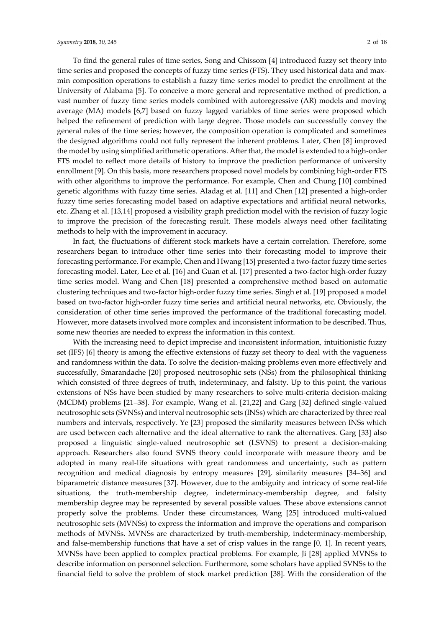To find the general rules of time series, Song and Chissom [4] introduced fuzzy set theory into time series and proposed the concepts of fuzzy time series (FTS). They used historical data and maxmin composition operations to establish a fuzzy time series model to predict the enrollment at the University of Alabama [5]. To conceive a more general and representative method of prediction, a vast number of fuzzy time series models combined with autoregressive (AR) models and moving average (MA) models [6,7] based on fuzzy lagged variables of time series were proposed which helped the refinement of prediction with large degree. Those models can successfully convey the general rules of the time series; however, the composition operation is complicated and sometimes the designed algorithms could not fully represent the inherent problems. Later, Chen [8] improved the model by using simplified arithmetic operations. After that, the model is extended to a high-order FTS model to reflect more details of history to improve the prediction performance of university enrollment [9]. On this basis, more researchers proposed novel models by combining high-order FTS with other algorithms to improve the performance. For example, Chen and Chung [10] combined genetic algorithms with fuzzy time series. Aladag et al. [11] and Chen [12] presented a high-order fuzzy time series forecasting model based on adaptive expectations and artificial neural networks, etc. Zhang et al. [13,14] proposed a visibility graph prediction model with the revision of fuzzy logic to improve the precision of the forecasting result. These models always need other facilitating methods to help with the improvement in accuracy.

In fact, the fluctuations of different stock markets have a certain correlation. Therefore, some researchers began to introduce other time series into their forecasting model to improve their forecasting performance. For example, Chen and Hwang [15] presented a two-factor fuzzy time series forecasting model. Later, Lee et al. [16] and Guan et al. [17] presented a two-factor high-order fuzzy time series model. Wang and Chen [18] presented a comprehensive method based on automatic clustering techniques and two-factor high-order fuzzy time series. Singh et al. [19] proposed a model based on two-factor high-order fuzzy time series and artificial neural networks, etc. Obviously, the consideration of other time series improved the performance of the traditional forecasting model. However, more datasets involved more complex and inconsistent information to be described. Thus, some new theories are needed to express the information in this context.

With the increasing need to depict imprecise and inconsistent information, intuitionistic fuzzy set (IFS) [6] theory is among the effective extensions of fuzzy set theory to deal with the vagueness and randomness within the data. To solve the decision-making problems even more effectively and successfully, Smarandache [20] proposed neutrosophic sets (NSs) from the philosophical thinking which consisted of three degrees of truth, indeterminacy, and falsity. Up to this point, the various extensions of NSs have been studied by many researchers to solve multi-criteria decision-making (MCDM) problems [21–38]. For example, Wang et al. [21,22] and Garg [32] defined single-valued neutrosophic sets (SVNSs) and interval neutrosophic sets (INSs) which are characterized by three real numbers and intervals, respectively. Ye [23] proposed the similarity measures between INSs which are used between each alternative and the ideal alternative to rank the alternatives. Garg [33] also proposed a linguistic single-valued neutrosophic set (LSVNS) to present a decision-making approach. Researchers also found SVNS theory could incorporate with measure theory and be adopted in many real-life situations with great randomness and uncertainty, such as pattern recognition and medical diagnosis by entropy measures [29], similarity measures [34–36] and biparametric distance measures [37]. However, due to the ambiguity and intricacy of some real-life situations, the truth-membership degree, indeterminacy-membership degree, and falsity membership degree may be represented by several possible values. These above extensions cannot properly solve the problems. Under these circumstances, Wang [25] introduced multi-valued neutrosophic sets (MVNSs) to express the information and improve the operations and comparison methods of MVNSs. MVNSs are characterized by truth-membership, indeterminacy-membership, and false-membership functions that have a set of crisp values in the range [0, 1]. In recent years, MVNSs have been applied to complex practical problems. For example, Ji [28] applied MVNSs to describe information on personnel selection. Furthermore, some scholars have applied SVNSs to the financial field to solve the problem of stock market prediction [38]. With the consideration of the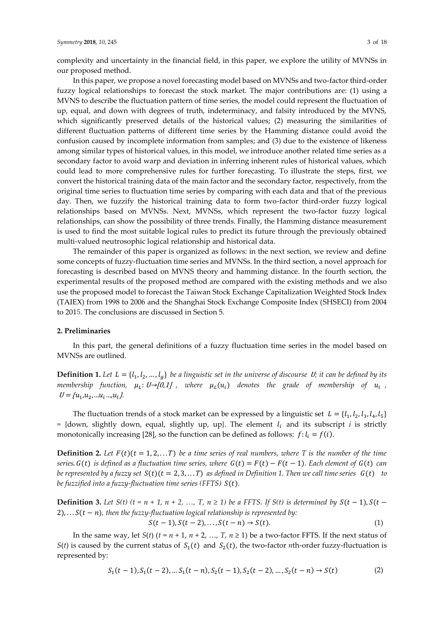complexity and uncertainty in the financial field, in this paper, we explore the utility of MVNSs in our proposed method.

In this paper, we propose a novel forecasting model based on MVNSs and two-factor third-order fuzzy logical relationships to forecast the stock market. The major contributions are: (1) using a MVNS to describe the fluctuation pattern of time series, the model could represent the fluctuation of up, equal, and down with degrees of truth, indeterminacy, and falsity introduced by the MVNS, which significantly preserved details of the historical values; (2) measuring the similarities of different fluctuation patterns of different time series by the Hamming distance could avoid the confusion caused by incomplete information from samples; and (3) due to the existence of likeness among similar types of historical values, in this model, we introduce another related time series as a secondary factor to avoid warp and deviation in inferring inherent rules of historical values, which could lead to more comprehensive rules for further forecasting. To illustrate the steps, first, we convert the historical training data of the main factor and the secondary factor, respectively, from the original time series to fluctuation time series by comparing with each data and that of the previous day. Then, we fuzzify the historical training data to form two-factor third-order fuzzy logical relationships based on MVNSs. Next, MVNSs, which represent the two-factor fuzzy logical relationships, can show the possibility of three trends. Finally, the Hamming distance measurement is used to find the most suitable logical rules to predict its future through the previously obtained multi-valued neutrosophic logical relationship and historical data.

The remainder of this paper is organized as follows: in the next section, we review and define some concepts of fuzzy-fluctuation time series and MVNSs. In the third section, a novel approach for forecasting is described based on MVNS theory and hamming distance. In the fourth section, the experimental results of the proposed method are compared with the existing methods and we also use the proposed model to forecast the Taiwan Stock Exchange Capitalization Weighted Stock Index (TAIEX) from 1998 to 2006 and the Shanghai Stock Exchange Composite Index (SHSECI) from 2004 to 2015. The conclusions are discussed in Section 5.

## **2. Preliminaries**

In this part, the general definitions of a fuzzy fluctuation time series in the model based on MVNSs are outlined.

**Definition 1.** Let  $L = \{l_1, l_2, ..., l_g\}$  be a linguistic set in the universe of discourse U; it can be defined by its  $m$ embership function,  $\mu_L \colon U \rightarrow [0,1]$  , where  $\mu_L(u_i)$  denotes the grade of membership of  $u_i$  ,  $U = \{u_1, u_2, \ldots, u_i, \ldots, u_l\}.$ 

The fluctuation trends of a stock market can be expressed by a linguistic set  $L = \{l_1, l_2, l_3, l_4, l_5\}$  $=$  {down, slightly down, equal, slightly up, up}. The element  $l_i$  and its subscript *i* is strictly monotonically increasing [28], so the function can be defined as follows:  $f: l_i = f(i)$ .

**Definition 2.** Let  $F(t)(t = 1, 2, \ldots T)$  be a time series of real numbers, where T is the number of the time *series*.  $G(t)$  *is defined as a fluctuation time series, where*  $G(t) = F(t) - F(t-1)$ *. Each element of*  $G(t)$  *can be represented by a fuzzy set*  $S(t)(t = 2, 3, ... T)$  *as defined in Definition 1. Then we call time series*  $G(t)$  *to be fuzzified into a fuzzy-fluctuation time series (FFTS)*  $S(t)$ *.* 

**Definition 3.** Let  $S(t)$  ( $t = n + 1, n + 2, ..., T, n \ge 1$ ) be a FFTS. If  $S(t)$  is determined by  $S(t - 1), S(t - 1)$  $2)$ , ...  $S(t - n)$ , then the fuzzy-fluctuation logical relationship is represented by:

$$
S(t-1), S(t-2),..., S(t-n) \to S(t).
$$
 (1)

In the same way, let *S*(*t*) ( $t = n + 1$ ,  $n + 2$ , …, *T*,  $n \ge 1$ ) be a two-factor FFTS. If the next status of *S*(*t*) is caused by the current status of  $S_1(t)$  and  $S_2(t)$ , the two-factor *n*th-order fuzzy-fluctuation is represented by:

$$
S_1(t-1), S_1(t-2), \dots S_1(t-n), S_2(t-1), S_2(t-2), \dots, S_2(t-n) \to S(t)
$$
 (2)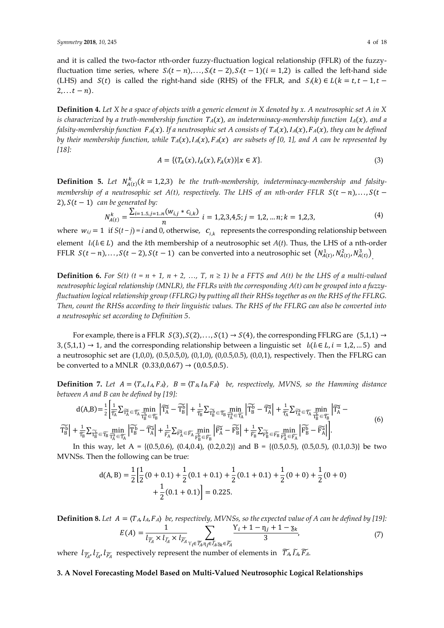and it is called the two-factor *n*th-order fuzzy-fluctuation logical relationship (FFLR) of the fuzzyfluctuation time series, where  $S_i(t - n)$ , ...,  $S_i(t - 2)$ ,  $S_i(t - 1)(i = 1,2)$  is called the left-hand side (LHS) and  $S(t)$  is called the right-hand side (RHS) of the FFLR, and  $S_i(k) \in L(k = t, t - 1, t - 1)$  $2, \ldots t - n$ .

**Definition 4***. Let X be a space of objects with a generic element in X denoted by x. A neutrosophic set A in X is characterized by a truth-membership function*  $T_A(x)$ , an indeterminacy-membership function  $I_A(x)$ , and a *falsity-membership function*  $FA(x)$ *. If a neutrosophic set A consists of*  $T_A(x)$ *,*  $IA(x)$ *,*  $FA(x)$ *, they can be defined by their membership function, while*  $T_A(x)$ ,  $I_A(x)$ ,  $F_A(x)$  are subsets of [0, 1], and A can be represented by *[18]:*

$$
A = \{ (T_A(x), I_A(x), F_A(x)) | x \in X \}.
$$
 (3)

**Definition 5.** Let  $N_{A(t)}^k(k = 1,2,3)$  be the truth-membership, indeterminacy-membership and falsity*membership* of a neutrosophic set  $A(t)$ , respectively. The LHS of an nth-order FFLR  $S(t - n)$ ,..., $S(t - n)$ 2),  $S(t - 1)$  *can be generated by:* 

$$
N_{A(t)}^{k} = \frac{\sum_{i=1..5,j=1..n}(w_{i,j} * c_{i,k})}{n} \quad i = 1,2,3,4,5; j = 1,2,...,n; k = 1,2,3,
$$
\n<sup>(4)</sup>

where  $w_{i,j} = 1$  if  $S(t-j) = i$  and 0, otherwise,  $c_{i,k}$  represents the corresponding relationship between element  $l_i(l_i \in L)$  and the *k*th membership of a neutrosophic set  $A(t)$ . Thus, the LHS of a nth-order FFLR  $S(t-n),..., S(t-2), S(t-1)$  can be converted into a neutrosophic set  $(N_{A(t)}^1, N_{A(t)}^2, N_{A(t)}^3)$ 

**Definition 6.** For S(t) (t = n + 1, n + 2, ..., T, n  $\geq$  1) be a FFTS and A(t) be the LHS of a multi-valued *neutrosophic logical relationship (MNLR), the FFLRs with the corresponding A(t) can be grouped into a fuzzyfluctuation logical relationship group (FFLRG) by putting all their RHSs together as on the RHS of the FFLRG. Then, count the RHSs according to their linguistic values. The RHS of the FFLRG can also be converted into a neutrosophic set according to Definition 5*.

For example, there is a FFLR  $S(3)$ ,  $S(2)$ , ...,  $S(1) \rightarrow S(4)$ , the corresponding FFLRG are  $(5,1,1) \rightarrow$ 3, (5,1,1) → 1, and the corresponding relationship between a linguistic set  $l_i(l_i \in L, i = 1,2,... 5)$  and a neutrosophic set are (1,0,0), (0.5,0.5,0), (0,1,0), (0,0.5,0.5), (0,0,1), respectively. Then the FFLRG can be converted to a MNLR  $(0.33,0,0.67) \rightarrow (0,0.5,0.5)$ .

**Definition 7.** Let  $A = \langle T_A, I_A, F_A \rangle$ ,  $B = \langle T_B, I_B, F_B \rangle$  be, respectively, MVNS, so the Hamming distance *between A and B can be defined by [19]:*

$$
d(A,B) = \frac{1}{2} \left[ \frac{1}{\widetilde{T_A}} \sum_{\widetilde{T_A}} \widetilde{T_A} \right] \underbrace{\widetilde{T_A}}_{\widetilde{T_B}} = \underbrace{\widetilde{T_A}}_{\widetilde{T_B}} \underbrace{\min}_{\widetilde{T_A}} \left| \widetilde{T_A} \right| + \frac{1}{\widetilde{T_B}} \sum_{\widetilde{T_B}} \widetilde{T_B} \right] + \frac{1}{\widetilde{T_B}} \sum_{\widetilde{T_B}} \underbrace{\min}_{\widetilde{T_B}} \left| \widetilde{T_B} \right| + \frac{1}{\widetilde{T_A}} \sum_{\widetilde{T_A}} \widetilde{T_A} \underbrace{\min}_{\widetilde{T_A}} \left| \widetilde{T_B} \right| + \frac{1}{\widetilde{T_A}} \sum_{\widetilde{T_B}} \underbrace{\min}_{\widetilde{T_B}} \left| \widetilde{T_A} \right| + \frac{1}{\widetilde{T_B}} \sum_{\widetilde{T_B}} \underbrace{\min}_{\widetilde{T_B}} \left| \widetilde{T_A} \right| + \frac{1}{\widetilde{T_B}} \sum_{\widetilde{T_B}} \underbrace{\min}_{\widetilde{T_B}} \left| \widetilde{T_A} \right| + \underbrace{\frac{1}{\widetilde{T_A}} \sum_{\widetilde{T_B}} \widetilde{T_A} \underbrace{\min}_{\widetilde{T_B}} \left| \widetilde{T_A} \right| + \underbrace{\frac{1}{\widetilde{T_A}} \sum_{\widetilde{T_B}} \widetilde{T_A} \underbrace{\min}_{\widetilde{T_B}} \left| \widetilde{T_A} \right| + \underbrace{\frac{1}{\widetilde{T_B}} \sum_{\widetilde{T_B}} \widetilde{T_A} \underbrace{\min}_{\widetilde{T_B}} \left| \widetilde{T_A} \right| + \underbrace{\frac{1}{\widetilde{T_A}} \sum_{\widetilde{T_B}} \widetilde{T_A} \underbrace{\min}_{\widetilde{T_B}} \left| \widetilde{T_A} \right| + \underbrace{\frac{1}{\widetilde{T_A}} \sum_{\widetilde{T_B}} \widetilde{T_A} \underbrace{\min}_{\widetilde{T_B}} \left| \widetilde{T_A} \right| + \underbrace{\frac{1}{\widetilde{T_A}} \sum_{\widetilde{T_B}} \widetilde{T_A} \underbrace{\min}_{\widetilde{T_B}} \left| \widetilde{T_A} \right| + \underbrace{\frac{1}{\
$$

In this way, let A = {(0.5,0.6), (0.4,0.4), (0.2,0.2)} and B = {(0.5,0.5), (0.5,0.5), (0.1,0.3)} be two MVNSs. Then the following can be true:

$$
d(A, B) = \frac{1}{2} \left[ \frac{1}{2} (0 + 0.1) + \frac{1}{2} (0.1 + 0.1) + \frac{1}{2} (0.1 + 0.1) + \frac{1}{2} (0 + 0) + \frac{1}{2} (0 + 0) \right]
$$
  
+ 
$$
\frac{1}{2} (0.1 + 0.1) = 0.225.
$$

 $Definition 8. Let  $A = \langle T_A, I_A, F_A \rangle$  *be, respectively, MVNSs, so the expected value of A can be defined by* [19]:$  $E(A) = \frac{1}{1 + \frac{1}{2}}$  $\frac{1}{l_{\widetilde{T}_A} \times l_{\widetilde{L}_A} \times l_{\widetilde{L}_A}} \sum_{\widetilde{T}_A \times \widetilde{T}_B} \frac{Y_i + 1 - \eta_j + 1 - \eta_k}{3}$  $Y_i \in \widetilde{T_A}, \eta_j \in \widetilde{I_A}, z_k \in \widetilde{F_A}$  3 ,  $(7)$ 

where  $l_{\widetilde{I}_A}$ ,  $l_{\widetilde{I}_A}$ ,  $l_{\widetilde{F}_A}$  respectively represent the number of elements in  $\widetilde{I}_A$ ,  $\widetilde{I}_A$ ,  $\widetilde{F}_A$ .

#### **3. A Novel Forecasting Model Based on Multi-Valued Neutrosophic Logical Relationships**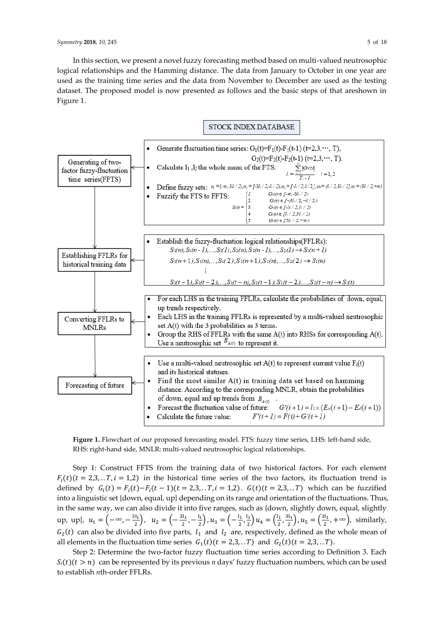In this section, we present a novel fuzzy forecasting method based on multi-valued neutrosophic logical relationships and the Hamming distance. The data from January to October in one year are used as the training time series and the data from November to December are used as the testing dataset. The proposed model is now presented as follows and the basic steps of that areshown in Figure 1.



**Figure 1.** Flowchart of our proposed forecasting model. FTS: fuzzy time series, LHS: left-hand side, RHS: right-hand side, MNLR: multi-valued neutrosophic logical relationships.

Step 1: Construct FFTS from the training data of two historical factors. For each element  $F_i(t)$  ( $t = 2,3, \ldots, T$ ,  $i = 1,2$ ) in the historical time series of the two factors, its fluctuation trend is defined by  $G_i(t) = F_i(t) - F_i(t-1)(t = 2,3,..T, i = 1,2)$ .  $G(t)(t = 2,3,..T)$  which can be fuzzified into a linguistic set {down, equal, up} depending on its range and orientation of the fluctuations. Thus, in the same way, we can also divide it into five ranges, such as {down, slightly down, equal, slightly up, up},  $u_1 = \left(-\infty, -\frac{3l_1}{2}\right)$  $\left(\frac{d_1}{2}\right)$ ,  $u_2 = \left(-\frac{3l_1}{2}\right)$  $\frac{1}{2}$ ,  $-\frac{1}{2}$  $\left(\frac{l_1}{2}\right)$ ,  $u_3 = \left(-\frac{l_1}{2}\right)$  $\frac{l_1}{2}, \frac{l_1}{2}$  $\frac{d_1}{2}$ )  $u_4 = \left(\frac{1_1}{2}\right)$  $\frac{1}{2}$ ,  $\frac{31}{2}$  $\left(\frac{d_1}{2}\right)$ ,  $u_5 = \left(\frac{3l_1}{2}\right)$  $\frac{a_{1}}{2}$ , + $\infty$ ), similarly,  $G_2(t)$  can also be divided into five parts,  $l_1$  and  $l_2$  are, respectively, defined as the whole mean of all elements in the fluctuation time series  $G_1(t)$   $(t = 2,3,..T)$  and  $G_2(t)$   $(t = 2,3,..T)$ .

Step 2: Determine the two-factor fuzzy fluctuation time series according to Definition 3. Each  $S_i(t)(t > n)$  can be represented by its previous *n* days' fuzzy fluctuation numbers, which can be used to establish *n*th-order FFLRs.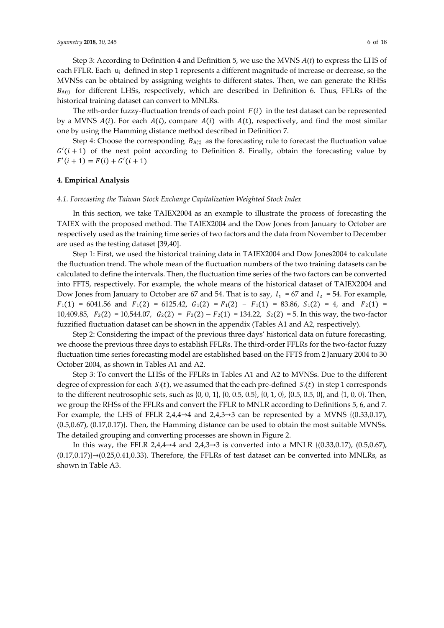Step 3: According to Definition 4 and Definition 5, we use the MVNS *A*(*t*) to express the LHS of each FFLR. Each  $u_i$  defined in step 1 represents a different magnitude of increase or decrease, so the MVNSs can be obtained by assigning weights to different states. Then, we can generate the RHSs  $B_{A(t)}$  for different LHSs, respectively, which are described in Definition 6. Thus, FFLRs of the historical training dataset can convert to MNLRs.

The *n*th-order fuzzy-fluctuation trends of each point  $F(i)$  in the test dataset can be represented by a MVNS  $A(i)$ . For each  $A(i)$ , compare  $A(i)$  with  $A(t)$ , respectively, and find the most similar one by using the Hamming distance method described in Definition 7.

Step 4: Choose the corresponding  $B_{A(t)}$  as the forecasting rule to forecast the fluctuation value  $G'(i + 1)$  of the next point according to Definition 8. Finally, obtain the forecasting value by  $F'(i + 1) = F(i) + G'(i + 1).$ 

#### **4. Empirical Analysis**

#### *4.1. Forecasting the Taiwan Stock Exchange Capitalization Weighted Stock Index*

In this section, we take TAIEX2004 as an example to illustrate the process of forecasting the TAIEX with the proposed method. The TAIEX2004 and the Dow Jones from January to October are respectively used as the training time series of two factors and the data from November to December are used as the testing dataset [39,40].

Step 1: First, we used the historical training data in TAIEX2004 and Dow Jones2004 to calculate the fluctuation trend. The whole mean of the fluctuation numbers of the two training datasets can be calculated to define the intervals. Then, the fluctuation time series of the two factors can be converted into FFTS, respectively. For example, the whole means of the historical dataset of TAIEX2004 and Dow Jones from January to October are 67 and 54. That is to say,  $l_1 = 67$  and  $l_2 = 54$ . For example,  $F_1(1) = 6041.56$  and  $F_1(2) = 6125.42$ ,  $G_1(2) = F_1(2) - F_1(1) = 83.86$ ,  $S_1(2) = 4$ , and  $F_2(1) =$ 10,409.85,  $F_2(2) = 10,544.07$ ,  $G_2(2) = F_2(2) - F_2(1) = 134.22$ ,  $S_2(2) = 5$ . In this way, the two-factor fuzzified fluctuation dataset can be shown in the appendix (Tables A1 and A2, respectively).

Step 2: Considering the impact of the previous three days' historical data on future forecasting, we choose the previous three days to establish FFLRs. The third-order FFLRs for the two-factor fuzzy fluctuation time series forecasting model are established based on the FFTS from 2 January 2004 to 30 October 2004, as shown in Tables A1 and A2.

Step 3: To convert the LHSs of the FFLRs in Tables A1 and A2 to MVNSs. Due to the different degree of expression for each  $S_i(t)$ , we assumed that the each pre-defined  $S_i(t)$  in step 1 corresponds to the different neutrosophic sets, such as {0, 0, 1}, {0, 0.5, 0.5}, {0, 1, 0}, {0.5, 0.5, 0}, and {1, 0, 0}. Then, we group the RHSs of the FFLRs and convert the FFLR to MNLR according to Definitions 5, 6, and 7. For example, the LHS of FFLR 2,4,4→4 and 2,4,3→3 can be represented by a MVNS { $(0.33,0.17)$ , (0.5,0.67), (0.17,0.17)}. Then, the Hamming distance can be used to obtain the most suitable MVNSs. The detailed grouping and converting processes are shown in Figure 2.

In this way, the FFLR 2,4,4→4 and 2,4,3→3 is converted into a MNLR { $(0.33,0.17)$ ,  $(0.5,0.67)$ ,  $(0.17,0.17)$  $\rightarrow$ (0.25,0.41,0.33). Therefore, the FFLRs of test dataset can be converted into MNLRs, as shown in Table A3.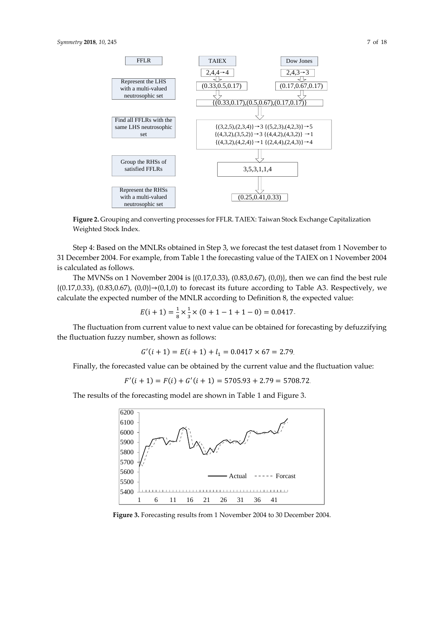

**Figure 2.** Grouping and converting processes for FFLR. TAIEX: Taiwan Stock Exchange Capitalization Weighted Stock Index.

Step 4: Based on the MNLRs obtained in Step 3, we forecast the test dataset from 1 November to 31 December 2004. For example, from Table 1 the forecasting value of the TAIEX on 1 November 2004 is calculated as follows.

The MVNSs on 1 November 2004 is {(0.17,0.33), (0.83,0.67), (0,0)}, then we can find the best rule  ${(0.17, 0.33), (0.83, 0.67), (0,0)} \rightarrow (0,1,0)$  to forecast its future according to Table A3. Respectively, we calculate the expected number of the MNLR according to Definition 8, the expected value:

$$
E(i + 1) = \frac{1}{8} \times \frac{1}{3} \times (0 + 1 - 1 + 1 - 0) = 0.0417.
$$

The fluctuation from current value to next value can be obtained for forecasting by defuzzifying the fluctuation fuzzy number, shown as follows:

$$
G'(i + 1) = E(i + 1) + l_1 = 0.0417 \times 67 = 2.79.
$$

Finally, the forecasted value can be obtained by the current value and the fluctuation value:

$$
F'(i + 1) = F(i) + G'(i + 1) = 5705.93 + 2.79 = 5708.72.
$$

The results of the forecasting model are shown in Table 1 and Figure 3.



**Figure 3.** Forecasting results from 1 November 2004 to 30 December 2004.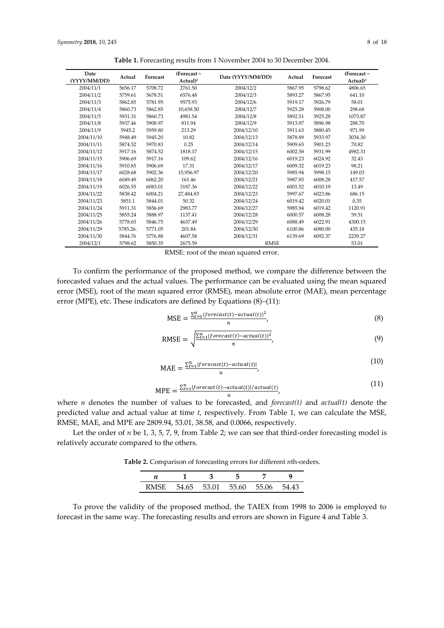| Table 1. Forecasting results from 1 November 2004 to 30 December 2004. |  |  |  |  |
|------------------------------------------------------------------------|--|--|--|--|
|------------------------------------------------------------------------|--|--|--|--|

| Date<br>(YYYY/MM/DD) | Actual   | Forecast | (Forecast-<br>Actual) <sup>2</sup> | Date (YYYY/MM/DD) | Actual  | Forecast | (Forecast-<br>Actual) <sup>2</sup> |
|----------------------|----------|----------|------------------------------------|-------------------|---------|----------|------------------------------------|
| 2004/11/1            | 5656.17  | 5708.72  | 2761.50                            | 2004/12/2         | 5867.95 | 5798.62  | 4806.65                            |
| 2004/11/2            | 5759.61  | 5678.51  | 6576.48                            | 2004/12/3         | 5893.27 | 5867.95  | 641.10                             |
| 2004/11/3            | 5862.85  | 5781.95  | 9575.93                            | 2004/12/6         | 5919.17 | 5926.79  | 58.01                              |
| 2004/11/4            | 5860.73  | 5862.85  | 10,658.50                          | 2004/12/7         | 5925.28 | 5908.00  | 298.68                             |
| 2004/11/5            | 5931.31  | 5860.73  | 4981.54                            | 2004/12/8         | 5892.51 | 5925.28  | 1073.87                            |
| 2004/11/8            | 5937.46  | 5908.97  | 811.94                             | 2004/12/9         | 5913.97 | 5896.98  | 288.70                             |
| 2004/11/9            | 5945.2   | 5959.80  | 213.29                             | 2004/12/10        | 5911.63 | 5880.45  | 971.99                             |
| 2004/11/10           | 5948.49  | 5945.20  | 10.82                              | 2004/12/13        | 5878.89 | 5933.97  | 3034.30                            |
| 2004/11/11           | 5874.52  | 5970.83  | 0.25                               | 2004/12/14        | 5909.65 | 5901.23  | 70.82                              |
| 2004/11/12           | 5917.16  | 5874.52  | 1818.17                            | 2004/12/15        | 6002.58 | 5931.99  | 4982.31                            |
| 2004/11/15           | 5906.69  | 5917.16  | 109.62                             | 2004/12/16        | 6019.23 | 6024.92  | 32.43                              |
| 2004/11/16           | 5910.85  | 5906.69  | 17.31                              | 2004/12/17        | 6009.32 | 6019.23  | 98.21                              |
| 2004/11/17           | 6028.68  | 5902.36  | 15.956.97                          | 2004/12/20        | 5985.94 | 5998.15  | 149.03                             |
| 2004/11/18           | 6049.49  | 6062.20  | 161.46                             | 2004/12/21        | 5987.85 | 6008.28  | 417.57                             |
| 2004/11/19           | 6026.55  | 6083.01  | 3187.36                            | 2004/12/22        | 6001.52 | 6010.19  | 13.49                              |
| 2004/11/22           | 5838.42  | 6004.21  | 27.484.83                          | 2004/12/23        | 5997.67 | 6023.86  | 686.15                             |
| 2004/11/23           | 5851.1   | 5844.01  | 50.32                              | 2004/12/24        | 6019.42 | 6020.01  | 0.35                               |
| 2004/11/24           | 5911.31  | 5856.69  | 2983.77                            | 2004/12/27        | 5985.94 | 6019.42  | 1120.91                            |
| 2004/11/25           | 5855.24  | 5888.97  | 1137.41                            | 2004/12/28        | 6000.57 | 6008.28  | 59.51                              |
| 2004/11/26           | 5778.65  | 5846.75  | 4637.49                            | 2004/12/29        | 6088.49 | 6022.91  | 4300.15                            |
| 2004/11/29           | 5785.26. | 5771.05  | 201.84                             | 2004/12/30        | 6100.86 | 6080.00  | 435.18                             |
| 2004/11/30           | 5844.76  | 5776.88  | 4607.58                            | 2004/12/31        | 6139.69 | 6092.37  | 2239.27                            |
| 2004/12/1            | 5798.62  | 5850.35  | 2675.59                            | <b>RMSE</b>       |         |          | 53.01                              |

RMSE: root of the mean squared error.

To confirm the performance of the proposed method, we compare the difference between the forecasted values and the actual values. The performance can be evaluated using the mean squared error (MSE), root of the mean squared error (RMSE), mean absolute error (MAE), mean percentage error (MPE), etc. These indicators are defined by Equations (8)–(11):

$$
\text{MSE} = \frac{\sum_{t=1}^{n} (forecast(t) - actual(t))^2}{n},\tag{8}
$$

RMSE = 
$$
\sqrt{\frac{\sum_{t=1}^{n} (forecast(t) - actual(t))^{2}}{n}},
$$
 (9)

$$
MAE = \frac{\sum_{t=1}^{n} |forecast(t) - actual(t)|}{n},
$$
\n(10)

$$
MPE = \frac{\sum_{t=1}^{n} |forecast(t) - actual(t)|/actual(t)}{n},
$$
\n(11)

where *n* denotes the number of values to be forecasted, and *forecast(t)* and *actual(t)* denote the predicted value and actual value at time *t*, respectively. From Table 1, we can calculate the MSE, RMSE, MAE, and MPE are 2809.94, 53.01, 38.58, and 0.0066, respectively.

Let the order of *n* be 1, 3, 5, 7, 9, from Table 2; we can see that third-order forecasting model is relatively accurate compared to the others.

**Table 2.** Comparison of forecasting errors for different *n*th-orders.

| RMSE 54.65 53.01 55.60 55.06 54.43 |  |  |
|------------------------------------|--|--|

To prove the validity of the proposed method, the TAIEX from 1998 to 2006 is employed to forecast in the same way. The forecasting results and errors are shown in Figure 4 and Table 3.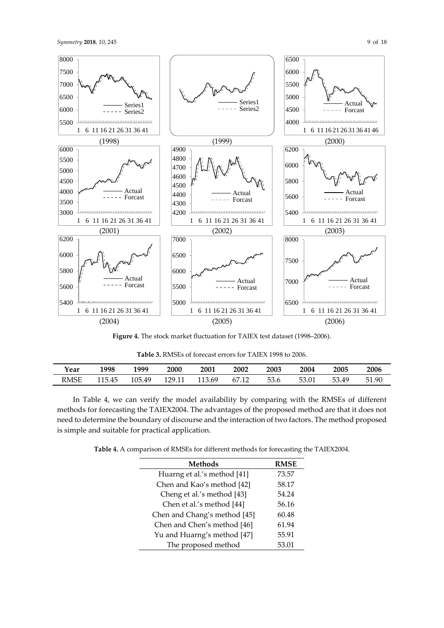



**Figure 4.** The stock market fluctuation for TAIEX test dataset (1998–2006).

**Table 3.** RMSEs of forecast errors for TAIEX 1998 to 2006.

| ∡ear        | 1998   | 1999   | 2000   | <b>2001</b> | 2002  | 2003 | 2004  | 2005  | 2006        |
|-------------|--------|--------|--------|-------------|-------|------|-------|-------|-------------|
| <b>RMSE</b> | 115.45 | 105.49 | 170 11 | 113.69      | 67.12 | 53.6 | 53.01 | 53.49 | 51<br>51.90 |

In Table 4, we can verify the model availability by comparing with the RMSEs of different methods for forecasting the TAIEX2004. The advantages of the proposed method are that it does not need to determine the boundary of discourse and the interaction of two factors. The method proposed is simple and suitable for practical application.

**Table 4.** A comparison of RMSEs for different methods for forecasting the TAIEX2004.

| <b>Methods</b>               | <b>RMSE</b> |
|------------------------------|-------------|
| Huarng et al.'s method [41]  | 73.57       |
| Chen and Kao's method [42]   | 58.17       |
| Cheng et al.'s method [43]   | 54.24       |
| Chen et al.'s method [44]    | 56.16       |
| Chen and Chang's method [45] | 60.48       |
| Chen and Chen's method [46]  | 61.94       |
| Yu and Huarng's method [47]  | 55.91       |
| The proposed method          | 53.01       |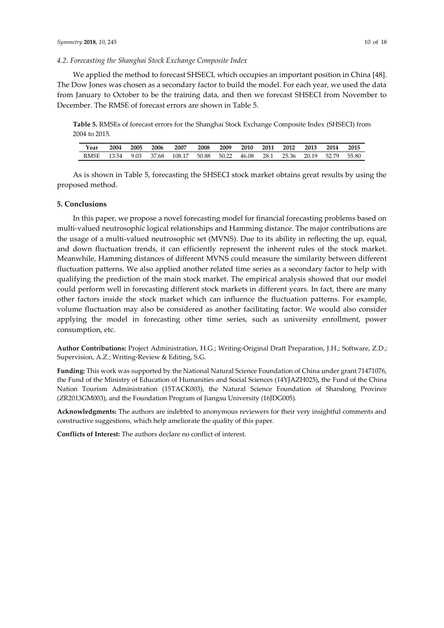## *4.2. Forecasting the Shanghai Stock Exchange Composite Index*

We applied the method to forecast SHSECI, which occupies an important position in China [48]. The Dow Jones was chosen as a secondary factor to build the model. For each year, we used the data from January to October to be the training data, and then we forecast SHSECI from November to December. The RMSE of forecast errors are shown in Table 5.

**Table 5.** RMSEs of forecast errors for the Shanghai Stock Exchange Composite Index (SHSECI) from 2004 to 2015.

| Year        | 2004  | 2005 | 2006  | 2007   | 2008  | 2009  | 2010  | 2011 | 2012  | 2013  | 2014  | 2015  |
|-------------|-------|------|-------|--------|-------|-------|-------|------|-------|-------|-------|-------|
| <b>RMSE</b> | 13.54 | 9.03 | 37.68 | 108.17 | 50.88 | 50.22 | 46.08 | 28.1 | 25.36 | 20.19 | 52.79 | 55.80 |

As is shown in Table 5, forecasting the SHSECI stock market obtains great results by using the proposed method.

## **5. Conclusions**

In this paper, we propose a novel forecasting model for financial forecasting problems based on multi-valued neutrosophic logical relationships and Hamming distance. The major contributions are the usage of a multi-valued neutrosophic set (MVNS). Due to its ability in reflecting the up, equal, and down fluctuation trends, it can efficiently represent the inherent rules of the stock market. Meanwhile, Hamming distances of different MVNS could measure the similarity between different fluctuation patterns. We also applied another related time series as a secondary factor to help with qualifying the prediction of the main stock market. The empirical analysis showed that our model could perform well in forecasting different stock markets in different years. In fact, there are many other factors inside the stock market which can influence the fluctuation patterns. For example, volume fluctuation may also be considered as another facilitating factor. We would also consider applying the model in forecasting other time series, such as university enrollment, power consumption, etc.

**Author Contributions:** Project Administration, H.G.; Writing-Original Draft Preparation, J.H.; Software, Z.D.; Supervision, A.Z.; Writing-Review & Editing, S.G.

**Funding:** This work was supported by the National Natural Science Foundation of China under grant 71471076, the Fund of the Ministry of Education of Humanities and Social Sciences (14YJAZH025), the Fund of the China Nation Tourism Administration (15TACK003), the Natural Science Foundation of Shandong Province (ZR2013GM003), and the Foundation Program of Jiangsu University (16JDG005).

**Acknowledgments:** The authors are indebted to anonymous reviewers for their very insightful comments and constructive suggestions, which help ameliorate the quality of this paper.

**Conflicts of Interest:** The authors declare no conflict of interest.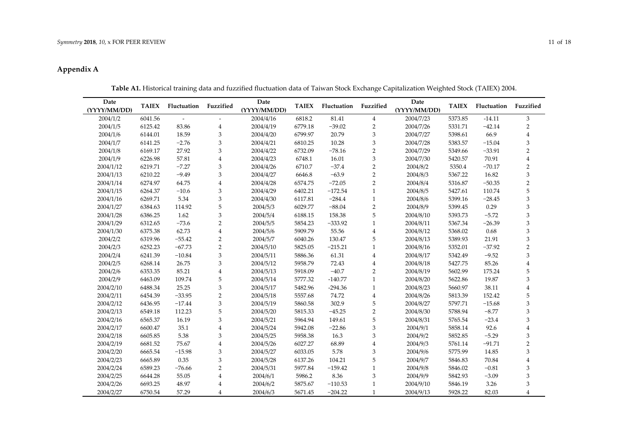# **Appendix A**

| Date<br>(YYYY/MM/DD) | <b>TAIEX</b> | Fluctuation | Fuzzified               | Date<br>(YYYY/MM/DD) | <b>TAIEX</b> | Fluctuation | Fuzzified      | Date<br>(YYYY/MM/DD) | <b>TAIEX</b> | Fluctuation | Fuzzified               |
|----------------------|--------------|-------------|-------------------------|----------------------|--------------|-------------|----------------|----------------------|--------------|-------------|-------------------------|
| 2004/1/2             | 6041.56      |             |                         | 2004/4/16            | 6818.2       | 81.41       | $\overline{4}$ | 2004/7/23            | 5373.85      | $-14.11$    | 3                       |
| 2004/1/5             | 6125.42      | 83.86       | 4                       | 2004/4/19            | 6779.18      | $-39.02$    | $\overline{2}$ | 2004/7/26            | 5331.71      | $-42.14$    | 2                       |
| 2004/1/6             | 6144.01      | 18.59       | 3                       | 2004/4/20            | 6799.97      | 20.79       | $\,$ 3 $\,$    | 2004/7/27            | 5398.61      | 66.9        | $\overline{4}$          |
| 2004/1/7             | 6141.25      | $-2.76$     | 3                       | 2004/4/21            | 6810.25      | 10.28       | 3              | 2004/7/28            | 5383.57      | $-15.04$    | 3                       |
| 2004/1/8             | 6169.17      | 27.92       | 3                       | 2004/4/22            | 6732.09      | $-78.16$    | $\overline{2}$ | 2004/7/29            | 5349.66      | $-33.91$    | $\overline{2}$          |
| 2004/1/9             | 6226.98      | 57.81       | $\overline{4}$          | 2004/4/23            | 6748.1       | 16.01       | 3              | 2004/7/30            | 5420.57      | 70.91       | $\overline{4}$          |
| 2004/1/12            | 6219.71      | $-7.27$     | 3                       | 2004/4/26            | 6710.7       | $-37.4$     | $\overline{2}$ | 2004/8/2             | 5350.4       | $-70.17$    | $\overline{2}$          |
| 2004/1/13            | 6210.22      | $-9.49$     | 3                       | 2004/4/27            | 6646.8       | $-63.9$     | $\overline{2}$ | 2004/8/3             | 5367.22      | 16.82       | 3                       |
| 2004/1/14            | 6274.97      | 64.75       | $\overline{4}$          | 2004/4/28            | 6574.75      | $-72.05$    | $\overline{2}$ | 2004/8/4             | 5316.87      | $-50.35$    | $\overline{2}$          |
| 2004/1/15            | 6264.37      | $-10.6$     | 3                       | 2004/4/29            | 6402.21      | $-172.54$   | $\mathbf{1}$   | 2004/8/5             | 5427.61      | 110.74      | 5                       |
| 2004/1/16            | 6269.71      | 5.34        | 3                       | 2004/4/30            | 6117.81      | $-284.4$    | $\mathbf{1}$   | 2004/8/6             | 5399.16      | $-28.45$    | 3                       |
| 2004/1/27            | 6384.63      | 114.92      | 5                       | 2004/5/3             | 6029.77      | $-88.04$    | $\overline{c}$ | 2004/8/9             | 5399.45      | 0.29        | 3                       |
| 2004/1/28            | 6386.25      | 1.62        | 3                       | 2004/5/4             | 6188.15      | 158.38      | 5              | 2004/8/10            | 5393.73      | $-5.72$     | 3                       |
| 2004/1/29            | 6312.65      | $-73.6$     | $\overline{2}$          | 2004/5/5             | 5854.23      | $-333.92$   | $\mathbf{1}$   | 2004/8/11            | 5367.34      | $-26.39$    | 3                       |
| 2004/1/30            | 6375.38      | 62.73       | $\overline{\mathbf{4}}$ | 2004/5/6             | 5909.79      | 55.56       | $\overline{4}$ | 2004/8/12            | 5368.02      | 0.68        | 3                       |
| 2004/2/2             | 6319.96      | $-55.42$    | $\overline{2}$          | 2004/5/7             | 6040.26      | 130.47      | 5              | 2004/8/13            | 5389.93      | 21.91       | 3                       |
| 2004/2/3             | 6252.23      | $-67.73$    | $\overline{2}$          | 2004/5/10            | 5825.05      | $-215.21$   | $\mathbf{1}$   | 2004/8/16            | 5352.01      | $-37.92$    | $\overline{2}$          |
| 2004/2/4             | 6241.39      | $-10.84$    | 3                       | 2004/5/11            | 5886.36      | 61.31       | $\bf{4}$       | 2004/8/17            | 5342.49      | $-9.52$     | 3                       |
| 2004/2/5             | 6268.14      | 26.75       | 3                       | 2004/5/12            | 5958.79      | 72.43       | $\bf{4}$       | 2004/8/18            | 5427.75      | 85.26       | $\overline{4}$          |
| 2004/2/6             | 6353.35      | 85.21       | $\overline{4}$          | 2004/5/13            | 5918.09      | $-40.7$     | $\overline{c}$ | 2004/8/19            | 5602.99      | 175.24      | 5                       |
| 2004/2/9             | 6463.09      | 109.74      | 5                       | 2004/5/14            | 5777.32      | $-140.77$   | $\mathbf{1}$   | 2004/8/20            | 5622.86      | 19.87       | 3                       |
| 2004/2/10            | 6488.34      | 25.25       | 3                       | 2004/5/17            | 5482.96      | $-294.36$   | $\mathbf{1}$   | 2004/8/23            | 5660.97      | 38.11       | $\overline{\mathbf{4}}$ |
| 2004/2/11            | 6454.39      | $-33.95$    | $\overline{2}$          | 2004/5/18            | 5557.68      | 74.72       | $\overline{4}$ | 2004/8/26            | 5813.39      | 152.42      | 5                       |
| 2004/2/12            | 6436.95      | $-17.44$    | 3                       | 2004/5/19            | 5860.58      | 302.9       | 5              | 2004/8/27            | 5797.71      | $-15.68$    | 3                       |
| 2004/2/13            | 6549.18      | 112.23      | 5                       | 2004/5/20            | 5815.33      | $-45.25$    | $\overline{2}$ | 2004/8/30            | 5788.94      | $-8.77$     | 3                       |
| 2004/2/16            | 6565.37      | 16.19       | 3                       | 2004/5/21            | 5964.94      | 149.61      | 5              | 2004/8/31            | 5765.54      | $-23.4$     | 3                       |
| 2004/2/17            | 6600.47      | 35.1        | $\overline{4}$          | 2004/5/24            | 5942.08      | $-22.86$    | 3              | 2004/9/1             | 5858.14      | 92.6        | $\bf 4$                 |
| 2004/2/18            | 6605.85      | 5.38        | 3                       | 2004/5/25            | 5958.38      | 16.3        | 3              | 2004/9/2             | 5852.85      | $-5.29$     | $\,3$                   |
| 2004/2/19            | 6681.52      | 75.67       | $\overline{4}$          | 2004/5/26            | 6027.27      | 68.89       | $\overline{4}$ | 2004/9/3             | 5761.14      | $-91.71$    | $\overline{2}$          |
| 2004/2/20            | 6665.54      | $-15.98$    | 3                       | 2004/5/27            | 6033.05      | 5.78        | 3              | 2004/9/6             | 5775.99      | 14.85       | 3                       |
| 2004/2/23            | 6665.89      | 0.35        | 3                       | 2004/5/28            | 6137.26      | 104.21      | 5              | 2004/9/7             | 5846.83      | 70.84       | $\bf{4}$                |
| 2004/2/24            | 6589.23      | $-76.66$    | $\overline{2}$          | 2004/5/31            | 5977.84      | $-159.42$   | $\mathbf{1}$   | 2004/9/8             | 5846.02      | $-0.81$     | 3                       |
| 2004/2/25            | 6644.28      | 55.05       | $\overline{4}$          | 2004/6/1             | 5986.2       | 8.36        | 3              | 2004/9/9             | 5842.93      | $-3.09$     | 3                       |
| 2004/2/26            | 6693.25      | 48.97       | $\overline{4}$          | 2004/6/2             | 5875.67      | $-110.53$   | $\mathbf{1}$   | 2004/9/10            | 5846.19      | 3.26        | 3                       |
| 2004/2/27            | 6750.54      | 57.29       | $\overline{4}$          | 2004/6/3             | 5671.45      | $-204.22$   | $\mathbf{1}$   | 2004/9/13            | 5928.22      | 82.03       | $\overline{4}$          |

**Table A1.** Historical training data and fuzzified fluctuation data of Taiwan Stock Exchange Capitalization Weighted Stock (TAIEX) 2004.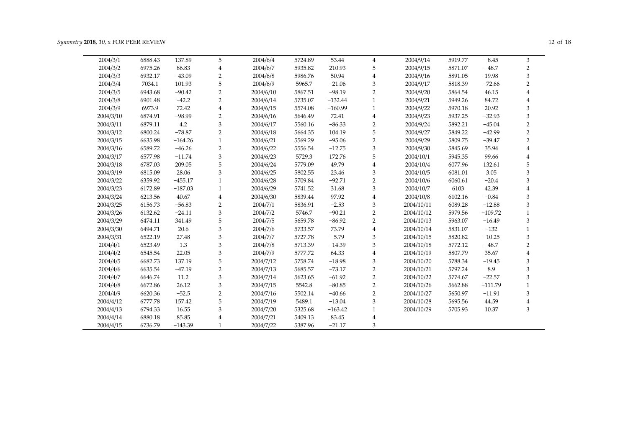| 2004/3/1  | 6888.43 | 137.89    | 5              | 2004/6/4  | 5724.89 | 53.44     | 4              | 2004/9/14  | 5919.77 | $-8.45$   | 3              |
|-----------|---------|-----------|----------------|-----------|---------|-----------|----------------|------------|---------|-----------|----------------|
| 2004/3/2  | 6975.26 | 86.83     | 4              | 2004/6/7  | 5935.82 | 210.93    | 5              | 2004/9/15  | 5871.07 | $-48.7$   | $\overline{2}$ |
| 2004/3/3  | 6932.17 | $-43.09$  | $\overline{2}$ | 2004/6/8  | 5986.76 | 50.94     | 4              | 2004/9/16  | 5891.05 | 19.98     | 3              |
| 2004/3/4  | 7034.1  | 101.93    | 5              | 2004/6/9  | 5965.7  | $-21.06$  | 3              | 2004/9/17  | 5818.39 | $-72.66$  | $\mathcal{P}$  |
| 2004/3/5  | 6943.68 | $-90.42$  | $\overline{2}$ | 2004/6/10 | 5867.51 | $-98.19$  | $\overline{2}$ | 2004/9/20  | 5864.54 | 46.15     |                |
| 2004/3/8  | 6901.48 | $-42.2$   | $\overline{2}$ | 2004/6/14 | 5735.07 | $-132.44$ | $\mathbf{1}$   | 2004/9/21  | 5949.26 | 84.72     |                |
| 2004/3/9  | 6973.9  | 72.42     | 4              | 2004/6/15 | 5574.08 | $-160.99$ | $\mathbf{1}$   | 2004/9/22  | 5970.18 | 20.92     | 3              |
| 2004/3/10 | 6874.91 | $-98.99$  | $\overline{2}$ | 2004/6/16 | 5646.49 | 72.41     | 4              | 2004/9/23  | 5937.25 | $-32.93$  | 3              |
| 2004/3/11 | 6879.11 | 4.2       | 3              | 2004/6/17 | 5560.16 | $-86.33$  | $\overline{2}$ | 2004/9/24  | 5892.21 | $-45.04$  | $\overline{2}$ |
| 2004/3/12 | 6800.24 | $-78.87$  | $\overline{2}$ | 2004/6/18 | 5664.35 | 104.19    | 5              | 2004/9/27  | 5849.22 | $-42.99$  | $\overline{2}$ |
| 2004/3/15 | 6635.98 | $-164.26$ | $\mathbf{1}$   | 2004/6/21 | 5569.29 | $-95.06$  | $\overline{2}$ | 2004/9/29  | 5809.75 | $-39.47$  | $\overline{2}$ |
| 2004/3/16 | 6589.72 | $-46.26$  | $\overline{2}$ | 2004/6/22 | 5556.54 | $-12.75$  | 3              | 2004/9/30  | 5845.69 | 35.94     |                |
| 2004/3/17 | 6577.98 | $-11.74$  | 3              | 2004/6/23 | 5729.3  | 172.76    | 5              | 2004/10/1  | 5945.35 | 99.66     |                |
| 2004/3/18 | 6787.03 | 209.05    | 5              | 2004/6/24 | 5779.09 | 49.79     | 4              | 2004/10/4  | 6077.96 | 132.61    | 5              |
| 2004/3/19 | 6815.09 | 28.06     | 3              | 2004/6/25 | 5802.55 | 23.46     | 3              | 2004/10/5  | 6081.01 | 3.05      | 3              |
| 2004/3/22 | 6359.92 | $-455.17$ | 1              | 2004/6/28 | 5709.84 | $-92.71$  | $\overline{2}$ | 2004/10/6  | 6060.61 | $-20.4$   | 3              |
| 2004/3/23 | 6172.89 | $-187.03$ | $\mathbf{1}$   | 2004/6/29 | 5741.52 | 31.68     | 3              | 2004/10/7  | 6103    | 42.39     |                |
| 2004/3/24 | 6213.56 | 40.67     | 4              | 2004/6/30 | 5839.44 | 97.92     | 4              | 2004/10/8  | 6102.16 | $-0.84$   | 3              |
| 2004/3/25 | 6156.73 | $-56.83$  | $\overline{2}$ | 2004/7/1  | 5836.91 | $-2.53$   | 3              | 2004/10/11 | 6089.28 | $-12.88$  | 3              |
| 2004/3/26 | 6132.62 | $-24.11$  | 3              | 2004/7/2  | 5746.7  | $-90.21$  | $\overline{2}$ | 2004/10/12 | 5979.56 | $-109.72$ |                |
| 2004/3/29 | 6474.11 | 341.49    | 5              | 2004/7/5  | 5659.78 | $-86.92$  | $\overline{2}$ | 2004/10/13 | 5963.07 | $-16.49$  | 3              |
| 2004/3/30 | 6494.71 | 20.6      | 3              | 2004/7/6  | 5733.57 | 73.79     | 4              | 2004/10/14 | 5831.07 | $-132$    |                |
| 2004/3/31 | 6522.19 | 27.48     | 3              | 2004/7/7  | 5727.78 | $-5.79$   | 3              | 2004/10/15 | 5820.82 | $-10.25$  | 3              |
| 2004/4/1  | 6523.49 | 1.3       | 3              | 2004/7/8  | 5713.39 | $-14.39$  | 3              | 2004/10/18 | 5772.12 | $-48.7$   | $\overline{2}$ |
| 2004/4/2  | 6545.54 | 22.05     | 3              | 2004/7/9  | 5777.72 | 64.33     | $\overline{4}$ | 2004/10/19 | 5807.79 | 35.67     |                |
| 2004/4/5  | 6682.73 | 137.19    | 5              | 2004/7/12 | 5758.74 | $-18.98$  | 3              | 2004/10/20 | 5788.34 | $-19.45$  | 3              |
| 2004/4/6  | 6635.54 | $-47.19$  | $\overline{2}$ | 2004/7/13 | 5685.57 | $-73.17$  | $\overline{2}$ | 2004/10/21 | 5797.24 | 8.9       | 3              |
| 2004/4/7  | 6646.74 | 11.2      | 3              | 2004/7/14 | 5623.65 | $-61.92$  | $\overline{2}$ | 2004/10/22 | 5774.67 | $-22.57$  | 3              |
| 2004/4/8  | 6672.86 | 26.12     | 3              | 2004/7/15 | 5542.8  | $-80.85$  | $\overline{2}$ | 2004/10/26 | 5662.88 | $-111.79$ | $\mathbf{1}$   |
| 2004/4/9  | 6620.36 | $-52.5$   | $\overline{2}$ | 2004/7/16 | 5502.14 | $-40.66$  | $\overline{2}$ | 2004/10/27 | 5650.97 | $-11.91$  | 3              |
| 2004/4/12 | 6777.78 | 157.42    | 5              | 2004/7/19 | 5489.1  | $-13.04$  | 3              | 2004/10/28 | 5695.56 | 44.59     | 4              |
| 2004/4/13 | 6794.33 | 16.55     | 3              | 2004/7/20 | 5325.68 | $-163.42$ | 1              | 2004/10/29 | 5705.93 | 10.37     | 3              |
| 2004/4/14 | 6880.18 | 85.85     | 4              | 2004/7/21 | 5409.13 | 83.45     | 4              |            |         |           |                |
| 2004/4/15 | 6736.79 | $-143.39$ | 1              | 2004/7/22 | 5387.96 | $-21.17$  | 3              |            |         |           |                |
|           |         |           |                |           |         |           |                |            |         |           |                |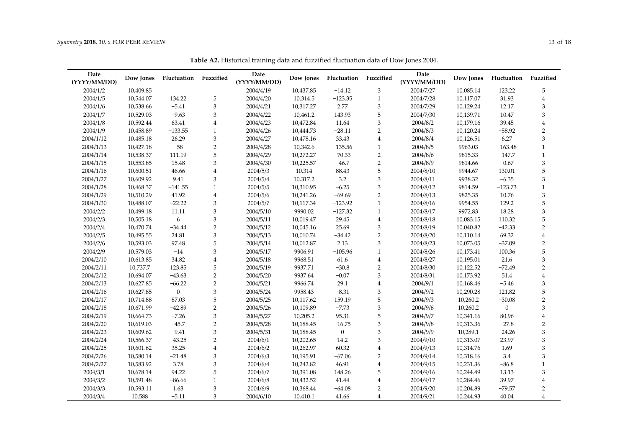| Date<br>(YYYY/MM/DD) | Dow Jones | Fluctuation    | Fuzzified      | Date<br>(YYYY/MM/DD) | Dow Jones | Fluctuation  | Fuzzified                 | Date<br>(YYYY/MM/DD) | Dow Jones | Fluctuation      | Fuzzified      |
|----------------------|-----------|----------------|----------------|----------------------|-----------|--------------|---------------------------|----------------------|-----------|------------------|----------------|
| 2004/1/2             | 10,409.85 |                |                | 2004/4/19            | 10,437.85 | $-14.12$     | 3                         | 2004/7/27            | 10,085.14 | 123.22           | 5              |
| 2004/1/5             | 10,544.07 | 134.22         | 5              | 2004/4/20            | 10,314.5  | $-123.35$    | $\mathbf{1}$              | 2004/7/28            | 10,117.07 | 31.93            | $\overline{4}$ |
| 2004/1/6             | 10,538.66 | $-5.41$        | 3              | 2004/4/21            | 10,317.27 | 2.77         | 3                         | 2004/7/29            | 10,129.24 | 12.17            | 3              |
| 2004/1/7             | 10,529.03 | $-9.63$        | 3              | 2004/4/22            | 10,461.2  | 143.93       | 5                         | 2004/7/30            | 10,139.71 | 10.47            | 3              |
| 2004/1/8             | 10,592.44 | 63.41          | $\overline{4}$ | 2004/4/23            | 10,472.84 | 11.64        | 3                         | 2004/8/2             | 10,179.16 | 39.45            | $\bf 4$        |
| 2004/1/9             | 10,458.89 | $-133.55$      | $\mathbf{1}$   | 2004/4/26            | 10,444.73 | $-28.11$     | $\overline{2}$            | 2004/8/3             | 10,120.24 | $-58.92$         | $\overline{c}$ |
| 2004/1/12            | 10,485.18 | 26.29          | 3              | 2004/4/27            | 10,478.16 | 33.43        | $\overline{4}$            | 2004/8/4             | 10,126.51 | 6.27             | 3              |
| 2004/1/13            | 10,427.18 | $-58$          | $\overline{2}$ | 2004/4/28            | 10,342.6  | $-135.56$    | $\mathbf{1}$              | 2004/8/5             | 9963.03   | $-163.48$        | $\mathbf{1}$   |
| 2004/1/14            | 10,538.37 | 111.19         | 5              | 2004/4/29            | 10,272.27 | $-70.33$     | $\overline{2}$            | 2004/8/6             | 9815.33   | $-147.7$         | $\mathbf{1}$   |
| 2004/1/15            | 10,553.85 | 15.48          | 3              | 2004/4/30            | 10,225.57 | $-46.7$      | $\overline{2}$            | 2004/8/9             | 9814.66   | $-0.67$          | 3              |
| 2004/1/16            | 10,600.51 | 46.66          | $\overline{4}$ | 2004/5/3             | 10,314    | 88.43        | 5                         | 2004/8/10            | 9944.67   | 130.01           | 5              |
| 2004/1/27            | 10,609.92 | 9.41           | 3              | 2004/5/4             | 10,317.2  | 3.2          | $\ensuremath{\mathsf{3}}$ | 2004/8/11            | 9938.32   | $-6.35$          | $\mathfrak z$  |
| 2004/1/28            | 10,468.37 | $-141.55$      | $\mathbf{1}$   | 2004/5/5             | 10,310.95 | $-6.25$      | 3                         | 2004/8/12            | 9814.59   | $-123.73$        | $\mathbf{1}$   |
| 2004/1/29            | 10,510.29 | 41.92          | $\overline{4}$ | 2004/5/6             | 10,241.26 | $-69.69$     | $\overline{2}$            | 2004/8/13            | 9825.35   | 10.76            | 3              |
| 2004/1/30            | 10,488.07 | $-22.22$       | 3              | 2004/5/7             | 10,117.34 | $-123.92$    | $\mathbf{1}$              | 2004/8/16            | 9954.55   | 129.2            | 5              |
| 2004/2/2             | 10,499.18 | 11.11          | 3              | 2004/5/10            | 9990.02   | $-127.32$    | $\mathbf{1}$              | 2004/8/17            | 9972.83   | 18.28            | $\mathfrak z$  |
| 2004/2/3             | 10,505.18 | 6              | 3              | 2004/5/11            | 10,019.47 | 29.45        | $\overline{4}$            | 2004/8/18            | 10,083.15 | 110.32           | 5              |
| 2004/2/4             | 10,470.74 | $-34.44$       | $\overline{2}$ | 2004/5/12            | 10,045.16 | 25.69        | 3                         | 2004/8/19            | 10,040.82 | $-42.33$         | $\overline{2}$ |
| 2004/2/5             | 10,495.55 | 24.81          | 3              | 2004/5/13            | 10,010.74 | $-34.42$     | $\overline{2}$            | 2004/8/20            | 10,110.14 | 69.32            | $\overline{4}$ |
| 2004/2/6             | 10,593.03 | 97.48          | 5              | 2004/5/14            | 10,012.87 | 2.13         | 3                         | 2004/8/23            | 10,073.05 | $-37.09$         | $\overline{2}$ |
| 2004/2/9             | 10,579.03 | $-14$          | 3              | 2004/5/17            | 9906.91   | $-105.96$    | $\mathbf{1}$              | 2004/8/26            | 10,173.41 | 100.36           | 5              |
| 2004/2/10            | 10,613.85 | 34.82          | $\overline{4}$ | 2004/5/18            | 9968.51   | 61.6         | $\overline{4}$            | 2004/8/27            | 10,195.01 | 21.6             | $\mathfrak z$  |
| 2004/2/11            | 10,737.7  | 123.85         | 5              | 2004/5/19            | 9937.71   | $-30.8$      | $\overline{2}$            | 2004/8/30            | 10,122.52 | $-72.49$         | $\overline{2}$ |
| 2004/2/12            | 10,694.07 | $-43.63$       | $\overline{2}$ | 2004/5/20            | 9937.64   | $-0.07$      | 3                         | 2004/8/31            | 10,173.92 | 51.4             | $\overline{4}$ |
| 2004/2/13            | 10,627.85 | $-66.22$       | $\overline{2}$ | 2004/5/21            | 9966.74   | 29.1         | $\overline{4}$            | 2004/9/1             | 10,168.46 | $-5.46$          | $\mathfrak z$  |
| 2004/2/16            | 10,627.85 | $\overline{0}$ | 3              | 2004/5/24            | 9958.43   | $-8.31$      | 3                         | 2004/9/2             | 10,290.28 | 121.82           | 5              |
| 2004/2/17            | 10,714.88 | 87.03          | 5              | 2004/5/25            | 10,117.62 | 159.19       | 5                         | 2004/9/3             | 10,260.2  | $-30.08$         | $\overline{2}$ |
| 2004/2/18            | 10,671.99 | $-42.89$       | $\overline{2}$ | 2004/5/26            | 10,109.89 | $-7.73$      | 3                         | 2004/9/6             | 10,260.2  | $\boldsymbol{0}$ | $\mathfrak z$  |
| 2004/2/19            | 10,664.73 | $-7.26$        | 3              | 2004/5/27            | 10,205.2  | 95.31        | 5                         | 2004/9/7             | 10,341.16 | 80.96            | $\overline{4}$ |
| 2004/2/20            | 10,619.03 | $-45.7$        | $\overline{2}$ | 2004/5/28            | 10,188.45 | $-16.75$     | 3                         | 2004/9/8             | 10,313.36 | $-27.8$          | $\overline{2}$ |
| 2004/2/23            | 10,609.62 | $-9.41$        | 3              | 2004/5/31            | 10,188.45 | $\mathbf{0}$ | 3                         | 2004/9/9             | 10,289.1  | $-24.26$         | 3              |
| 2004/2/24            | 10,566.37 | $-43.25$       | $\overline{2}$ | 2004/6/1             | 10,202.65 | 14.2         | 3                         | 2004/9/10            | 10,313.07 | 23.97            | $\mathfrak z$  |
| 2004/2/25            | 10,601.62 | 35.25          | $\overline{4}$ | 2004/6/2             | 10,262.97 | 60.32        | $\overline{4}$            | 2004/9/13            | 10,314.76 | 1.69             | $\mathfrak z$  |
| 2004/2/26            | 10,580.14 | $-21.48$       | 3              | 2004/6/3             | 10,195.91 | $-67.06$     | $\overline{2}$            | 2004/9/14            | 10,318.16 | 3.4              | $\mathfrak z$  |
| 2004/2/27            | 10,583.92 | 3.78           | 3              | 2004/6/4             | 10,242.82 | 46.91        | $\overline{4}$            | 2004/9/15            | 10,231.36 | $-86.8$          | $\mathbf{1}$   |
| 2004/3/1             | 10,678.14 | 94.22          | 5              | 2004/6/7             | 10,391.08 | 148.26       | 5                         | 2004/9/16            | 10,244.49 | 13.13            | 3              |
| 2004/3/2             | 10,591.48 | $-86.66$       | $\mathbf{1}$   | 2004/6/8             | 10,432.52 | 41.44        | $\overline{4}$            | 2004/9/17            | 10,284.46 | 39.97            | $\overline{4}$ |
| 2004/3/3             | 10,593.11 | 1.63           | 3              | 2004/6/9             | 10,368.44 | $-64.08$     | $\overline{2}$            | 2004/9/20            | 10,204.89 | $-79.57$         | $\overline{2}$ |

2004/3/4 10,588 −5.11 3 2004/6/10 10,410.1 41.66 4 2004/9/21 10,244.93 40.04 4

**Table A2.** Historical training data and fuzzified fluctuation data of Dow Jones 2004.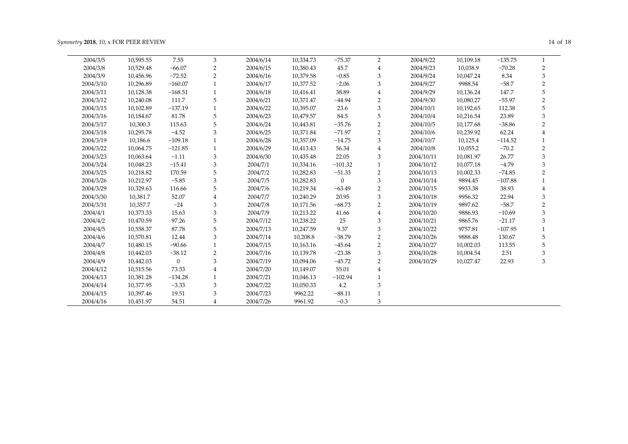| 2004/3/5  | 10,595.55 | 7.55           | 3              | 2004/6/14 | 10,334.73 | $-75.37$     | 2              | 2004/9/22  | 10,109.18 | $-135.75$ |                |
|-----------|-----------|----------------|----------------|-----------|-----------|--------------|----------------|------------|-----------|-----------|----------------|
| 2004/3/8  | 10,529.48 | $-66.07$       | 2              | 2004/6/15 | 10,380.43 | 45.7         | $\overline{4}$ | 2004/9/23  | 10,038.9  | $-70.28$  | 2              |
| 2004/3/9  | 10,456.96 | $-72.52$       | 2              | 2004/6/16 | 10,379.58 | $-0.85$      | 3              | 2004/9/24  | 10,047.24 | 8.34      | 3              |
| 2004/3/10 | 10,296.89 | $-160.07$      |                | 2004/6/17 | 10,377.52 | $-2.06$      | 3              | 2004/9/27  | 9988.54   | $-58.7$   | $\overline{2}$ |
| 2004/3/11 | 10,128.38 | $-168.51$      | 1              | 2004/6/18 | 10,416.41 | 38.89        | $\overline{4}$ | 2004/9/29  | 10,136.24 | 147.7     |                |
| 2004/3/12 | 10,240.08 | 111.7          | 5              | 2004/6/21 | 10,371.47 | $-44.94$     | $\overline{2}$ | 2004/9/30  | 10,080.27 | $-55.97$  | 2              |
| 2004/3/15 | 10,102.89 | $-137.19$      |                | 2004/6/22 | 10,395.07 | 23.6         | 3              | 2004/10/1  | 10,192.65 | 112.38    | 5              |
| 2004/3/16 | 10,184.67 | 81.78          | 5              | 2004/6/23 | 10,479.57 | 84.5         | 5              | 2004/10/4  | 10,216.54 | 23.89     | 3              |
| 2004/3/17 | 10,300.3  | 115.63         | 5              | 2004/6/24 | 10,443.81 | $-35.76$     | $\overline{2}$ | 2004/10/5  | 10,177.68 | $-38.86$  | 2              |
| 2004/3/18 | 10,295.78 | $-4.52$        | 3              | 2004/6/25 | 10,371.84 | $-71.97$     | $\overline{2}$ | 2004/10/6  | 10,239.92 | 62.24     |                |
| 2004/3/19 | 10,186.6  | $-109.18$      |                | 2004/6/28 | 10,357.09 | $-14.75$     | 3              | 2004/10/7  | 10,125.4  | $-114.52$ |                |
| 2004/3/22 | 10,064.75 | $-121.85$      | 1              | 2004/6/29 | 10,413.43 | 56.34        | $\overline{4}$ | 2004/10/8  | 10,055.2  | $-70.2$   | 2              |
| 2004/3/23 | 10,063.64 | $-1.11$        | 3              | 2004/6/30 | 10,435.48 | 22.05        | 3              | 2004/10/11 | 10,081.97 | 26.77     | 3              |
| 2004/3/24 | 10,048.23 | $-15.41$       | 3              | 2004/7/1  | 10,334.16 | $-101.32$    | 1              | 2004/10/12 | 10,077.18 | $-4.79$   | 3              |
| 2004/3/25 | 10,218.82 | 170.59         | 5              | 2004/7/2  | 10,282.83 | $-51.33$     | $\overline{2}$ | 2004/10/13 | 10,002.33 | $-74.85$  | 2              |
| 2004/3/26 | 10,212.97 | $-5.85$        | 3              | 2004/7/5  | 10,282.83 | $\mathbf{0}$ | 3              | 2004/10/14 | 9894.45   | $-107.88$ |                |
| 2004/3/29 | 10,329.63 | 116.66         | 5              | 2004/7/6  | 10,219.34 | $-63.49$     | $\overline{2}$ | 2004/10/15 | 9933.38   | 38.93     |                |
| 2004/3/30 | 10,381.7  | 52.07          | 4              | 2004/7/7  | 10,240.29 | 20.95        | 3              | 2004/10/18 | 9956.32   | 22.94     | 3              |
| 2004/3/31 | 10,357.7  | $-24$          | 3              | 2004/7/8  | 10,171.56 | $-68.73$     | $\overline{2}$ | 2004/10/19 | 9897.62   | $-58.7$   | $\mathfrak{D}$ |
| 2004/4/1  | 10,373.33 | 15.63          | 3              | 2004/7/9  | 10,213.22 | 41.66        | $\overline{4}$ | 2004/10/20 | 9886.93   | $-10.69$  | 3              |
| 2004/4/2  | 10,470.59 | 97.26          | 5              | 2004/7/12 | 10,238.22 | 25           | 3              | 2004/10/21 | 9865.76   | $-21.17$  | 3              |
| 2004/4/5  | 10,558.37 | 87.78          | 5              | 2004/7/13 | 10,247.59 | 9.37         | 3              | 2004/10/22 | 9757.81   | $-107.95$ |                |
| 2004/4/6  | 10,570.81 | 12.44          | 3              | 2004/7/14 | 10,208.8  | $-38.79$     | $\overline{2}$ | 2004/10/26 | 9888.48   | 130.67    | 5              |
| 2004/4/7  | 10,480.15 | $-90.66$       |                | 2004/7/15 | 10,163.16 | $-45.64$     | $\overline{2}$ | 2004/10/27 | 10,002.03 | 113.55    | 5              |
| 2004/4/8  | 10,442.03 | $-38.12$       | $\overline{2}$ | 2004/7/16 | 10,139.78 | $-23.38$     | 3              | 2004/10/28 | 10,004.54 | 2.51      | 3              |
| 2004/4/9  | 10,442.03 | $\overline{0}$ | 3              | 2004/7/19 | 10,094.06 | $-45.72$     | 2              | 2004/10/29 | 10,027.47 | 22.93     | 3              |
| 2004/4/12 | 10,515.56 | 73.53          | 4              | 2004/7/20 | 10,149.07 | 55.01        | $\overline{4}$ |            |           |           |                |
| 2004/4/13 | 10,381.28 | $-134.28$      |                | 2004/7/21 | 10,046.13 | $-102.94$    | $\mathbf{1}$   |            |           |           |                |
| 2004/4/14 | 10,377.95 | $-3.33$        | 3              | 2004/7/22 | 10,050.33 | 4.2          | 3              |            |           |           |                |
| 2004/4/15 | 10,397.46 | 19.51          | 3              | 2004/7/23 | 9962.22   | $-88.11$     | 1              |            |           |           |                |
| 2004/4/16 | 10,451.97 | 54.51          |                | 2004/7/26 | 9961.92   | $-0.3$       | 3              |            |           |           |                |
|           |           |                |                |           |           |              |                |            |           |           |                |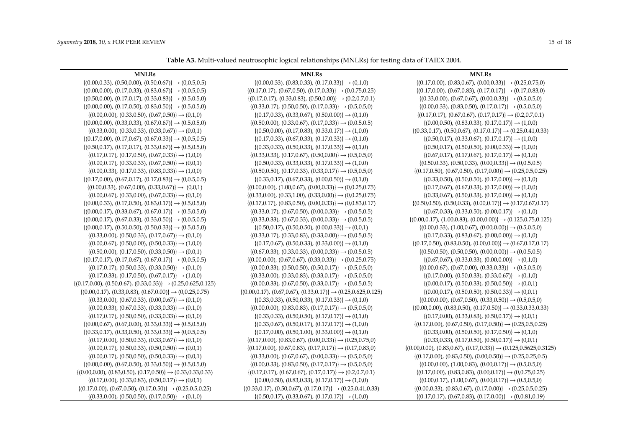**Table A3.** Multi-valued neutrosophic logical relationships (MNLRs) for testing data of TAIEX 2004.

| <b>MNLRs</b>                                                                   | <b>MNLRs</b>                                                                   | <b>MNLRs</b>                                                                   |
|--------------------------------------------------------------------------------|--------------------------------------------------------------------------------|--------------------------------------------------------------------------------|
| $\{(0.00, 0.33), (0.50, 0.00), (0.50, 0.67)\}\rightarrow (0, 0.5, 0.5)$        | $\{(0.00, 0.33), (0.83, 0.33), (0.17, 0.33)\}\rightarrow (0, 1, 0)$            | $\{(0.17, 0.00), (0.83, 0.67), (0.00, 0.33)\}\rightarrow (0.25, 0.75, 0)$      |
| $\{(0.00, 0.00), (0.17, 0.33), (0.83, 0.67)\}\rightarrow (0.0.5, 0.5)$         | $\{(0.17, 0.17), (0.67, 0.50), (0.17, 0.33)\}\rightarrow (0.0.75, 0.25)$       | $\{(0.17, 0.00), (0.67, 0.83), (0.17, 0.17)\}\rightarrow (0.17, 0.83, 0)$      |
| $\{(0.50, 0.00), (0.17, 0.17), (0.33, 0.83)\}\rightarrow (0.5, 0.5, 0)$        | $\{(0.17, 0.17), (0.33, 0.83), (0.50, 0.00)\}\rightarrow (0.2, 0.7, 0.1)$      | $\{(0.33, 0.00), (0.67, 0.67), (0.00, 0.33)\}\rightarrow (0.5, 0.5, 0)$        |
| $\{(0.00, 0.00), (0.17, 0.50), (0.83, 0.50)\}\rightarrow (0.5, 0.5, 0)$        | $\{(0.33, 0.17), (0.50, 0.50), (0.17, 0.33)\}\rightarrow (0.5, 0.5, 0)$        | $\{(0.00, 0.33), (0.83, 0.50), (0.17, 0.17)\}\rightarrow (0.5, 0.5, 0)$        |
| $\{(0.00, 0.00), (0.33, 0.50), (0.67, 0.50)\}\rightarrow (0.1, 0)$             | $\{(0.17, 0.33), (0.33, 0.67), (0.50, 0.00)\}\rightarrow (0.1, 0)$             | $\{(0.17, 0.17), (0.67, 0.67), (0.17, 0.17)\}\rightarrow (0.2, 0.7, 0.1)$      |
| $\{(0.00, 0.00), (0.33, 0.33), (0.67, 0.67)\}\rightarrow (0.5, 0.5, 0)$        | $\{(0.50, 0.00), (0.33, 0.67), (0.17, 0.33)\}\rightarrow (0.0.5, 0.5)$         | $\{(0.00, 0.50), (0.83, 0.33), (0.17, 0.17)\}\rightarrow (1, 0, 0)$            |
| $\{(0.33, 0.00), (0.33, 0.33), (0.33, 0.67)\}\rightarrow (0, 0, 1)$            | $\{(0.50, 0.00), (0.17, 0.83), (0.33, 0.17)\}\rightarrow (1, 0, 0)$            | $\{(0.33, 0.17), (0.50, 0.67), (0.17, 0.17)\}\rightarrow (0.25, 0.41, 0.33)$   |
| $\{(0.17, 0.00), (0.17, 0.67), (0.67, 0.33)\}\rightarrow (0.0.5, 0.5)$         | $\{(0.17, 0.33), (0.67, 0.33), (0.17, 0.33)\}\rightarrow (0.1, 0)$             | $\{(0.50, 0.17), (0.33, 0.67), (0.17, 0.17)\}\rightarrow (1, 0, 0)$            |
| $\{(0.50, 0.17), (0.17, 0.17), (0.33, 0.67)\}\rightarrow (0.5, 0.5, 0)$        | $\{(0.33, 0.33), (0.50, 0.33), (0.17, 0.33)\}\rightarrow (0.1, 0)$             | $\{(0.50, 0.17), (0.50, 0.50), (0.00, 0.33)\}\rightarrow (1, 0, 0)$            |
| $\{(0.17, 0.17), (0.17, 0.50), (0.67, 0.33)\}\rightarrow (1, 0, 0)$            | $\{(0.33, 0.33), (0.17, 0.67), (0.50, 0.00)\}\rightarrow (0.5, 0.5, 0)$        | $\{(0.67, 0.17), (0.17, 0.67), (0.17, 0.17)\}\rightarrow (0.1, 0)$             |
| $\{(0.00, 0.17), (0.33, 0.33), (0.67, 0.50)\}\rightarrow (0.0, 1)$             | $\{(0.50, 0.33), (0.33, 0.33), (0.17, 0.33)\}\rightarrow (1, 0, 0)$            | $\{(0.50, 0.33), (0.50, 0.33), (0.00, 0.33)\}\rightarrow (0.0.5, 0.5)$         |
| $\{(0.00, 0.33), (0.17, 0.33), (0.83, 0.33)\}\rightarrow (1, 0, 0)$            | $\{(0.50, 0.50), (0.17, 0.33), (0.33, 0.17)\}\rightarrow (0.5, 0.5, 0)$        | $\{(0.17, 0.50), (0.67, 0.50), (0.17, 0.00)\}\rightarrow (0.25, 0.5, 0.25)$    |
| $\{(0.17, 0.00), (0.67, 0.17), (0.17, 0.83)\}\rightarrow (0.0.5, 0.5)$         | $\{(0.33, 0.17), (0.67, 0.33), (0.00, 0.50)\}\rightarrow (0.1, 0)$             | $\{(0.33, 0.50), (0.50, 0.50), (0.17, 0.00)\}\rightarrow (0.1, 0)$             |
| $\{(0.00, 0.33), (0.67, 0.00), (0.33, 0.67)\}\rightarrow (0, 0, 1)$            | $\{(0.00, 0.00), (1.00, 0.67), (0.00, 0.33)\}\rightarrow (0.0.25, 0.75)$       | $\{(0.17, 0.67), (0.67, 0.33), (0.17, 0.00)\}\rightarrow (1, 0, 0)$            |
| $\{(0.00, 0.67), (0.33, 0.00), (0.67, 0.33)\}\rightarrow (0.1, 0)$             | $\{(0.33, 0.00), (0.33, 1.00), (0.33, 0.00)\}\rightarrow (0.0.25, 0.75)$       | $\{(0.33, 0.67), (0.50, 0.33), (0.17, 0.00)\}\rightarrow (0.1, 0)$             |
| $\{(0.00, 0.33), (0.17, 0.50), (0.83, 0.17)\}\rightarrow (0.5, 0.5, 0)$        | $\{(0.17, 0.17), (0.83, 0.50), (0.00, 0.33)\}\rightarrow (0.0.83, 0.17)$       | $\{(0.50, 0.50), (0.50, 0.33), (0.00, 0.17)\}\rightarrow (0.17, 0.67, 0.17)$   |
| $\{(0.00, 0.17), (0.33, 0.67), (0.67, 0.17)\}\rightarrow (0.5, 0.5, 0)$        | $\{(0.33, 0.17), (0.67, 0.50), (0.00, 0.33)\}\rightarrow (0.0.5, 0.5)$         | $\{(0.67, 0.33), (0.33, 0.50), (0.00, 0.17)\}\rightarrow (0.1, 0)$             |
| $\{(0.00, 0.17), (0.67, 0.33), (0.33, 0.50)\}\rightarrow (0.0.5, 0.5)$         | $\{(0.33, 0.33), (0.67, 0.33), (0.00, 0.33)\}\rightarrow (0.0.5, 0.5)$         | $\{(0.00, 0.17), (1.00, 0.83), (0.00, 0.00)\}\rightarrow (0.125, 0.75, 0.125)$ |
| $\{(0.00, 0.17), (0.50, 0.50), (0.50, 0.33)\}\rightarrow (0.5, 0.5, 0)$        | $\{(0.50, 0.17), (0.50, 0.50), (0.00, 0.33)\}\rightarrow (0.0, 1)$             | $\{(0.00, 0.33), (1.00, 0.67), (0.00, 0.00)\}\rightarrow (0.5, 0.5, 0)$        |
| $\{(0.33, 0.00), (0.50, 0.33), (0.17, 0.67)\}\rightarrow (0.1, 0)$             | $\{(0.33, 0.17), (0.33, 0.83), (0.33, 0.00)\}\rightarrow (0.0.5, 0.5)$         | $\{(0.17, 0.33), (0.83, 0.67), (0.00, 0.00)\}\rightarrow (0.1, 0)$             |
| $\{(0.00, 0.67), (0.50, 0.00), (0.50, 0.33)\}\rightarrow (1, 0, 0)$            | $\{(0.17, 0.67), (0.50, 0.33), (0.33, 0.00)\}\rightarrow (0.1, 0)$             | $\{(0.17, 0.50), (0.83, 0.50), (0.00, 0.00)\}\rightarrow (0.67, 0.17, 0.17)$   |
| $\{(0.50, 0.00), (0.17, 0.50), (0.33, 0.50)\}\rightarrow (0.0, 1)$             | $\{(0.67, 0.33), (0.33, 0.33), (0.00, 0.33)\}\rightarrow (0.0.5, 0.5)$         | $\{(0.50, 0.50), (0.50, 0.50), (0.00, 0.00)\}\rightarrow (0.0.5, 0.5)$         |
| $\{(0.17, 0.17), (0.17, 0.67), (0.67, 0.17)\}\rightarrow (0.0.5, 0.5)$         | $\{(0.00, 0.00), (0.67, 0.67), (0.33, 0.33)\}\rightarrow (0.0.25, 0.75)$       | $\{(0.67, 0.67), (0.33, 0.33), (0.00, 0.00)\}\rightarrow (0.1, 0)$             |
| $\{(0.17, 0.17), (0.50, 0.33), (0.33, 0.50)\}\rightarrow (0.1, 0)$             | $\{(0.00, 0.33), (0.50, 0.50), (0.50, 0.17)\}\rightarrow (0.5, 0.5, 0)$        | $\{(0.00, 0.67), (0.67, 0.00), (0.33, 0.33)\}\rightarrow (0.5, 0.5, 0)$        |
| $\{(0.17, 0.33), (0.17, 0.50), (0.67, 0.17)\}\rightarrow (1, 0, 0)$            | $\{(0.33, 0.00), (0.33, 0.83), (0.33, 0.17)\}\rightarrow (0.5, 0.5, 0)$        | $\{(0.17, 0.00), (0.50, 0.33), (0.33, 0.67)\}\rightarrow (0.1, 0)$             |
| $\{(0.17, 0.00), (0.50, 0.67), (0.33, 0.33)\}\rightarrow (0.25, 0.625, 0.125)$ | $\{(0.00, 0.33), (0.67, 0.50), (0.33, 0.17)\}\rightarrow (0.0.5, 0.5)$         | $\{(0.00, 0.17), (0.50, 0.33), (0.50, 0.50)\}\rightarrow (0.0, 1)$             |
| $\{(0.00, 0.17), (0.33, 0.83), (0.67, 0.00)\}\rightarrow (0.0.25, 0.75)$       | $\{(0.00, 0.17), (0.67, 0.67), (0.33, 0.17)\}\rightarrow (0.25, 0.625, 0.125)$ | $\{(0.00, 0.17), (0.50, 0.50), (0.50, 0.33)\}\rightarrow (0.0, 1)$             |
| $\{(0.33, 0.00), (0.67, 0.33), (0.00, 0.67)\}\rightarrow (0.1, 0)$             | $\{(0.33, 0.33), (0.50, 0.33), (0.17, 0.33)\}\rightarrow (0.1, 0)$             | $\{(0.00, 0.00), (0.67, 0.50), (0.33, 0.50)\}\rightarrow (0.5, 0.5, 0)$        |
| $\{(0.00, 0.33), (0.67, 0.33), (0.33, 0.33)\}\rightarrow (0.1, 0)$             | $\{(0.00, 0.00), (0.83, 0.83), (0.17, 0.17)\}\rightarrow (0.5, 0.5, 0)$        | $\{(0.00, 0.00), (0.83, 0.50), (0.17, 0.50)\}\rightarrow (0.33, 0.33, 0.33)$   |
| $\{(0.17, 0.17), (0.50, 0.50), (0.33, 0.33)\}\rightarrow (0.1, 0)$             | $\{(0.33, 0.33), (0.50, 0.50), (0.17, 0.17)\}\rightarrow (0.1, 0)$             | $\{(0.17, 0.00), (0.33, 0.83), (0.50, 0.17)\}\rightarrow (0.0, 1)$             |
| $\{(0.00, 0.67), (0.67, 0.00), (0.33, 0.33)\}\rightarrow (0.5, 0.5, 0)$        | $\{(0.33, 0.67), (0.50, 0.17), (0.17, 0.17)\}\rightarrow (1, 0, 0)$            | $\{(0.17, 0.00), (0.67, 0.50), (0.17, 0.50)\}\rightarrow (0.25, 0.5, 0.25)$    |
| $\{(0.33, 0.17), (0.33, 0.50), (0.33, 0.33)\}\rightarrow (0.0.5, 0.5)$         | $\{(0.17, 0.00), (0.50, 1.00), (0.33, 0.00)\}\rightarrow (0.1, 0)$             | $\{(0.33, 0.00), (0.50, 0.50), (0.17, 0.50)\}\rightarrow (0.1, 0)$             |
| $\{(0.17, 0.00), (0.50, 0.33), (0.33, 0.67)\}\rightarrow (0.1, 0)$             | $\{(0.17, 0.00), (0.83, 0.67), (0.00, 0.33)\}\rightarrow (0.25, 0.75, 0)$      | $\{(0.33, 0.33), (0.17, 0.50), (0.50, 0.17)\}\rightarrow (0, 0, 1)$            |
| $\{(0.00, 0.17), (0.50, 0.33), (0.50, 0.50)\}\rightarrow (0.0, 1)$             | $\{(0.17, 0.00), (0.67, 0.83), (0.17, 0.17)\}\rightarrow (0.17, 0.83, 0)$      | $\{(0.00,0.00), (0.83,0.67), (0.17,0.33)\}\rightarrow (0.125,0.5625,0.3125)$   |
| $\{(0.00, 0.17), (0.50, 0.50), (0.50, 0.33)\}\rightarrow (0.0, 1)$             | $\{(0.33, 0.00), (0.67, 0.67), (0.00, 0.33)\}\rightarrow (0.5, 0.5, 0)$        | $\{(0.17, 0.00), (0.83, 0.50), (0.00, 0.50)\}\rightarrow (0.25, 0.25, 0.5)$    |
| $\{(0.00, 0.00), (0.67, 0.50), (0.33, 0.50)\}\rightarrow (0.5, 0.5, 0)$        | $\{(0.00, 0.33), (0.83, 0.50), (0.17, 0.17)\}\rightarrow (0.5, 0.5, 0)$        | $\{(0.00, 0.00), (1.00, 0.83), (0.00, 0.17)\}\rightarrow (0.5, 0.5, 0)$        |
| $\{(0.00, 0.00), (0.83, 0.50), (0.17, 0.50)\}\rightarrow (0.33, 0.33, 0.33)$   | $\{(0.17, 0.17), (0.67, 0.67), (0.17, 0.17)\}\rightarrow (0.2, 0.7, 0.1)$      | $\{(0.17, 0.00), (0.83, 0.83), (0.00, 0.17)\}\rightarrow (0.0.75, 0.25)$       |
| $\{(0.17, 0.00), (0.33, 0.83), (0.50, 0.17)\}\rightarrow (0, 0, 1)$            | $\{(0.00, 0.50), (0.83, 0.33), (0.17, 0.17)\}\rightarrow (1, 0, 0)$            | $\{(0.00, 0.17), (1.00, 0.67), (0.00, 0.17)\}\rightarrow (0.5, 0.5, 0)$        |
| $\{(0.17, 0.00), (0.67, 0.50), (0.17, 0.50)\}\rightarrow (0.25, 0.5, 0.25)$    | $\{(0.33, 0.17), (0.50, 0.67), (0.17, 0.17)\}\rightarrow (0.25, 0.41, 0.33)$   | $\{(0.00, 0.33), (0.83, 0.67), (0.17, 0.00)\}\rightarrow (0.25, 0.5, 0.25)$    |
| $\{(0.33, 0.00), (0.50, 0.50), (0.17, 0.50)\}\rightarrow (0.1, 0)$             | $\{(0.50, 0.17), (0.33, 0.67), (0.17, 0.17)\}\rightarrow (1, 0, 0)$            | $\{(0.17, 0.17), (0.67, 0.83), (0.17, 0.00)\}\rightarrow (0.0.81, 0.19)$       |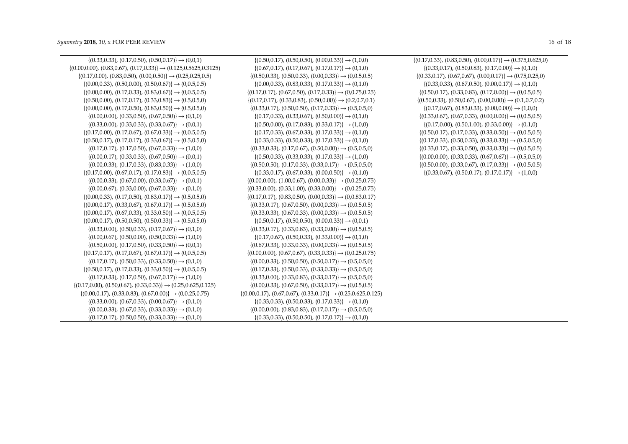| $\{(0.33, 0.33), (0.17, 0.50), (0.50, 0.17)\}\rightarrow (0, 0, 1)$               | $\{(0.50, 0.17), (0.50, 0.50), (0.00, 0.33)\}\rightarrow (1, 0, 0)$            | $\{(0.17, 0.33), (0.83, 0.50), (0.00, 0.17)\}\rightarrow (0.375, 0.625, 0)$ |
|-----------------------------------------------------------------------------------|--------------------------------------------------------------------------------|-----------------------------------------------------------------------------|
| $\{(0.00, 0.00), (0.83, 0.67), (0.17, 0.33)\}\rightarrow (0.125, 0.5625, 0.3125)$ | $\{(0.67, 0.17), (0.17, 0.67), (0.17, 0.17)\}\rightarrow (0.1, 0)$             | $\{(0.33, 0.17), (0.50, 0.83), (0.17, 0.00)\}\rightarrow (0.1, 0)$          |
| $\{(0.17, 0.00), (0.83, 0.50), (0.00, 0.50)\}\rightarrow (0.25, 0.25, 0.5)$       | $\{(0.50, 0.33), (0.50, 0.33), (0.00, 0.33)\}\rightarrow (0.0.5, 0.5)$         | $\{(0.33, 0.17), (0.67, 0.67), (0.00, 0.17)\}\rightarrow (0.75, 0.25, 0)$   |
| $\{(0.00, 0.33), (0.50, 0.00), (0.50, 0.67)\}\rightarrow (0.0.5, 0.5)$            | $\{(0.00, 0.33), (0.83, 0.33), (0.17, 0.33)\}\rightarrow (0.1, 0)$             | $\{(0.33, 0.33), (0.67, 0.50), (0.00, 0.17)\}\rightarrow (0.1, 0)$          |
| $\{(0.00, 0.00), (0.17, 0.33), (0.83, 0.67)\}\rightarrow (0.0.5, 0.5)$            | $\{(0.17, 0.17), (0.67, 0.50), (0.17, 0.33)\}\rightarrow (0.0.75, 0.25)$       | $\{(0.50, 0.17), (0.33, 0.83), (0.17, 0.00)\}\rightarrow (0.0.5, 0.5)$      |
| $\{(0.50, 0.00), (0.17, 0.17), (0.33, 0.83)\}\rightarrow (0.5, 0.5, 0)$           | $\{(0.17, 0.17), (0.33, 0.83), (0.50, 0.00)\}\rightarrow (0.2, 0.7, 0.1)$      | $\{(0.50, 0.33), (0.50, 0.67), (0.00, 0.00)\}\rightarrow (0.1, 0.7, 0.2)$   |
| $\{(0.00, 0.00), (0.17, 0.50), (0.83, 0.50)\}\rightarrow (0.5, 0.5, 0)$           | $\{(0.33, 0.17), (0.50, 0.50), (0.17, 0.33)\}\rightarrow (0.5, 0.5, 0)$        | $\{(0.17, 0.67), (0.83, 0.33), (0.00, 0.00)\}\rightarrow (1, 0, 0)$         |
| $\{(0.00, 0.00), (0.33, 0.50), (0.67, 0.50)\}\rightarrow (0.1, 0)$                | $\{(0.17, 0.33), (0.33, 0.67), (0.50, 0.00)\}\rightarrow (0.1, 0)$             | $\{(0.33, 0.67), (0.67, 0.33), (0.00, 0.00)\}\rightarrow (0.0.5, 0.5)$      |
| $\{(0.33, 0.00), (0.33, 0.33), (0.33, 0.67)\}\rightarrow (0, 0, 1)$               | $\{(0.50, 0.00), (0.17, 0.83), (0.33, 0.17)\}\rightarrow (1, 0, 0)$            | $\{(0.17, 0.00), (0.50, 1.00), (0.33, 0.00)\}\rightarrow (0.1, 0)$          |
| $\{(0.17, 0.00), (0.17, 0.67), (0.67, 0.33)\}\rightarrow (0.0.5, 0.5)$            | $\{(0.17, 0.33), (0.67, 0.33), (0.17, 0.33)\}\rightarrow (0.1, 0)$             | $\{(0.50, 0.17), (0.17, 0.33), (0.33, 0.50)\}\rightarrow (0.0.5, 0.5)$      |
| $\{(0.50, 0.17), (0.17, 0.17), (0.33, 0.67)\}\rightarrow (0.5, 0.5, 0)$           | $\{(0.33, 0.33), (0.50, 0.33), (0.17, 0.33)\}\rightarrow (0.1, 0)$             | $\{(0.17, 0.33), (0.50, 0.33), (0.33, 0.33)\}\rightarrow (0.5, 0.5, 0)$     |
| $\{(0.17, 0.17), (0.17, 0.50), (0.67, 0.33)\}\rightarrow (1, 0, 0)$               | $\{(0.33, 0.33), (0.17, 0.67), (0.50, 0.00)\}\rightarrow (0.5, 0.5, 0)$        | $\{(0.33, 0.17), (0.33, 0.50), (0.33, 0.33)\}\rightarrow (0.0.5, 0.5)$      |
| $\{(0.00, 0.17), (0.33, 0.33), (0.67, 0.50)\}\rightarrow (0.0, 1)$                | $\{(0.50, 0.33), (0.33, 0.33), (0.17, 0.33)\}\rightarrow (1, 0, 0)$            | $\{(0.00, 0.00), (0.33, 0.33), (0.67, 0.67)\}\rightarrow (0.5, 0.5, 0)$     |
| $\{(0.00, 0.33), (0.17, 0.33), (0.83, 0.33)\}\rightarrow (1, 0, 0)$               | $\{(0.50, 0.50), (0.17, 0.33), (0.33, 0.17)\}\rightarrow (0.5, 0.5, 0)$        | $\{(0.50, 0.00), (0.33, 0.67), (0.17, 0.33)\}\rightarrow (0.0.5, 0.5)$      |
| $\{(0.17, 0.00), (0.67, 0.17), (0.17, 0.83)\}\rightarrow (0.0.5, 0.5)$            | $\{(0.33, 0.17), (0.67, 0.33), (0.00, 0.50)\}\rightarrow (0.1, 0)$             | $\{(0.33, 0.67), (0.50, 0.17), (0.17, 0.17)\}\rightarrow (1, 0, 0)$         |
| $\{(0.00, 0.33), (0.67, 0.00), (0.33, 0.67)\}\rightarrow (0, 0, 1)$               | $\{(0.00, 0.00), (1.00, 0.67), (0.00, 0.33)\}\rightarrow (0.0.25, 0.75)$       |                                                                             |
| $\{(0.00, 0.67), (0.33, 0.00), (0.67, 0.33)\}\rightarrow (0.1, 0)$                | $\{(0.33, 0.00), (0.33, 1.00), (0.33, 0.00)\}\rightarrow (0.0.25, 0.75)$       |                                                                             |
| $\{(0.00, 0.33), (0.17, 0.50), (0.83, 0.17)\}\rightarrow (0.5, 0.5, 0)$           | $\{(0.17, 0.17), (0.83, 0.50), (0.00, 0.33)\}\rightarrow (0.0.83, 0.17)$       |                                                                             |
| $\{(0.00, 0.17), (0.33, 0.67), (0.67, 0.17)\}\rightarrow (0.5, 0.5, 0)$           | $\{(0.33, 0.17), (0.67, 0.50), (0.00, 0.33)\}\rightarrow (0.0.5, 0.5)$         |                                                                             |
| $\{(0.00, 0.17), (0.67, 0.33), (0.33, 0.50)\}\rightarrow (0.0.5, 0.5)$            | $\{(0.33, 0.33), (0.67, 0.33), (0.00, 0.33)\}\rightarrow (0.0.5, 0.5)$         |                                                                             |
| $\{(0.00, 0.17), (0.50, 0.50), (0.50, 0.33)\}\rightarrow (0.5, 0.5, 0)$           | $\{(0.50, 0.17), (0.50, 0.50), (0.00, 0.33)\}\rightarrow (0.0, 1)$             |                                                                             |
| $\{(0.33, 0.00), (0.50, 0.33), (0.17, 0.67)\}\rightarrow (0.1, 0)$                | $\{(0.33, 0.17), (0.33, 0.83), (0.33, 0.00)\}\rightarrow (0.0.5, 0.5)$         |                                                                             |
| $\{(0.00, 0.67), (0.50, 0.00), (0.50, 0.33)\}\rightarrow (1, 0, 0)$               | $\{(0.17, 0.67), (0.50, 0.33), (0.33, 0.00)\}\rightarrow (0.1, 0)$             |                                                                             |
| $\{(0.50, 0.00), (0.17, 0.50), (0.33, 0.50)\}\rightarrow (0.0, 1)$                | $\{(0.67, 0.33), (0.33, 0.33), (0.00, 0.33)\}\rightarrow (0.0.5, 0.5)$         |                                                                             |
| $\{(0.17, 0.17), (0.17, 0.67), (0.67, 0.17)\}\rightarrow (0.0.5, 0.5)$            | $\{(0.00, 0.00), (0.67, 0.67), (0.33, 0.33)\}\rightarrow (0.0.25, 0.75)$       |                                                                             |
| $\{(0.17, 0.17), (0.50, 0.33), (0.33, 0.50)\}\rightarrow (0.1, 0)$                | $\{(0.00, 0.33), (0.50, 0.50), (0.50, 0.17)\}\rightarrow (0.5, 0.5, 0)$        |                                                                             |
| $\{(0.50, 0.17), (0.17, 0.33), (0.33, 0.50)\}\rightarrow (0.0.5, 0.5)$            | $\{(0.17, 0.33), (0.50, 0.33), (0.33, 0.33)\}\rightarrow (0.5, 0.5, 0)$        |                                                                             |
| $\{(0.17, 0.33), (0.17, 0.50), (0.67, 0.17)\}\rightarrow (1, 0, 0)$               | $\{(0.33, 0.00), (0.33, 0.83), (0.33, 0.17)\}\rightarrow (0.5, 0.5, 0)$        |                                                                             |
| $\{(0.17, 0.00), (0.50, 0.67), (0.33, 0.33)\}\rightarrow (0.25, 0.625, 0.125)$    | $\{(0.00, 0.33), (0.67, 0.50), (0.33, 0.17)\}\rightarrow (0, 0.5, 0.5)$        |                                                                             |
| $\{(0.00, 0.17), (0.33, 0.83), (0.67, 0.00)\}\rightarrow (0.0.25, 0.75)$          | $\{(0.00, 0.17), (0.67, 0.67), (0.33, 0.17)\}\rightarrow (0.25, 0.625, 0.125)$ |                                                                             |
| $\{(0.33, 0.00), (0.67, 0.33), (0.00, 0.67)\}\rightarrow (0.1, 0)$                | $\{(0.33, 0.33), (0.50, 0.33), (0.17, 0.33)\}\rightarrow (0.1, 0)$             |                                                                             |
| $\{(0.00, 0.33), (0.67, 0.33), (0.33, 0.33)\}\rightarrow (0.1, 0)$                | $\{(0.00, 0.00), (0.83, 0.83), (0.17, 0.17)\}\rightarrow (0.5, 0.5, 0)$        |                                                                             |
| $\{(0.17, 0.17), (0.50, 0.50), (0.33, 0.33)\}\rightarrow (0.1, 0)$                | $\{(0.33, 0.33), (0.50, 0.50), (0.17, 0.17)\}\rightarrow (0.1, 0)$             |                                                                             |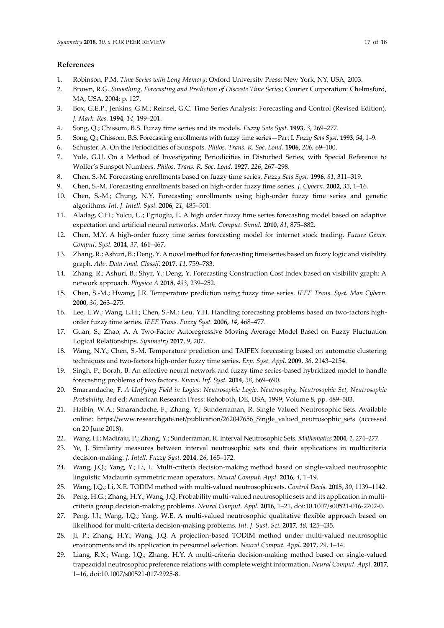#### **References**

- 1. Robinson, P.M. *Time Series with Long Memory*; Oxford University Press: New York, NY, USA, 2003.
- 2. Brown, R.G. *Smoothing, Forecasting and Prediction of Discrete Time Series*; Courier Corporation: Chelmsford, MA, USA, 2004; p. 127.
- 3. Box, G.E.P.; Jenkins, G.M.; Reinsel, G.C. Time Series Analysis: Forecasting and Control (Revised Edition). *J. Mark. Res.* **1994**, *14*, 199–201.
- 4. Song, Q.; Chissom, B.S. Fuzzy time series and its models. *Fuzzy Sets Syst.* **1993**, *3*, 269–277.
- 5. Song, Q.; Chissom, B.S. Forecasting enrollments with fuzzy time series—Part I. *Fuzzy Sets Syst.* **1993**, *54*, 1–9.
- 6. Schuster, A. On the Periodicities of Sunspots. *Philos. Trans. R. Soc. Lond.* **1906**, *206*, 69–100.
- 7. Yule, G.U. On a Method of Investigating Periodicities in Disturbed Series, with Special Reference to Wolfer's Sunspot Numbers. *Philos. Trans. R. Soc. Lond.* **1927**, *226*, 267–298.
- 8. Chen, S.-M. Forecasting enrollments based on fuzzy time series. *Fuzzy Sets Syst.* **1996**, *81*, 311–319.
- 9. Chen, S.-M. Forecasting enrollments based on high-order fuzzy time series. *J. Cybern.* **2002**, *33*, 1–16.
- 10. Chen, S.-M.; Chung, N.Y. Forecasting enrollments using high-order fuzzy time series and genetic algorithms. *Int. J. Intell. Syst.* **2006**, *21*, 485–501.
- 11. Aladag, C.H.; Yolcu, U.; Egrioglu, E. A high order fuzzy time series forecasting model based on adaptive expectation and artificial neural networks. *Math. Comput. Simul.* **2010**, *81*, 875–882.
- 12. Chen, M.Y. A high-order fuzzy time series forecasting model for internet stock trading. *Future Gener. Comput. Syst.* **2014**, *37*, 461–467.
- 13. Zhang, R.; Ashuri, B.; Deng, Y. A novel method for forecasting time series based on fuzzy logic and visibility graph. *Adv. Data Anal. Classif.* **2017**, *11*, 759–783.
- 14. Zhang, R.; Ashuri, B.; Shyr, Y.; Deng, Y. Forecasting Construction Cost Index based on visibility graph: A network approach. *Physica A* **2018**, *493*, 239–252.
- 15. Chen, S.-M.; Hwang, J.R. Temperature prediction using fuzzy time series*. IEEE Trans. Syst. Man Cybern.* **2000**, *30*, 263–275.
- 16. Lee, L.W.; Wang, L.H.; Chen, S.-M.; Leu, Y.H. Handling forecasting problems based on two-factors highorder fuzzy time series. *IEEE Trans. Fuzzy Syst.* **2006**, *14*, 468–477.
- 17. Guan, S.; Zhao, A. A Two-Factor Autoregressive Moving Average Model Based on Fuzzy Fluctuation Logical Relationships. *Symmetry* **2017**, *9*, 207.
- 18. Wang, N.Y.; Chen, S.-M. Temperature prediction and TAIFEX forecasting based on automatic clustering techniques and two-factors high-order fuzzy time series. *Exp. Syst. Appl.* **2009**, *36*, 2143–2154.
- 19. Singh, P.; Borah, B. An effective neural network and fuzzy time series-based hybridized model to handle forecasting problems of two factors. *Knowl. Inf. Syst.* **2014**, *38*, 669–690.
- 20. Smarandache, F. *A Unifying Field in Logics: Neutrosophic Logic. Neutrosophy, Neutrosophic Set, Neutrosophic Probability*, 3rd ed; American Research Press: Rehoboth, DE, USA, 1999; Volume 8, pp. 489–503.
- 21. Haibin, W.A.; Smarandache, F.; Zhang, Y.; Sunderraman, R. Single Valued Neutrosophic Sets. Available online: [https://www.researchgate.net/publication/262047656\\_Single\\_valued\\_neutrosophic\\_sets](https://www.researchgate.net/publication/262047656_Single_valued_neutrosophic_sets) (accessed on 20 June 2018).
- 22. Wang, H.; Madiraju, P.; Zhang, Y.; Sunderraman, R. Interval Neutrosophic Sets. *Mathematics* **2004**, *1*, 274–277.
- 23. Ye, J. Similarity measures between interval neutrosophic sets and their applications in multicriteria decision-making. *J. Intell. Fuzzy Syst.* **2014**, *26*, 165–172.
- 24. Wang, J.Q.; Yang, Y.; Li, L. Multi-criteria decision-making method based on single-valued neutrosophic linguistic Maclaurin symmetric mean operators. *Neural Comput. Appl.* **2016**, *4*, 1–19.
- 25. Wang, J.Q.; Li, X.E. TODIM method with multi-valued neutrosophicsets. *Control Decis.* **2015**, *30*, 1139–1142.
- 26. Peng, H.G.; Zhang, H.Y.; Wang, J.Q. Probability multi-valued neutrosophic sets and its application in multicriteria group decision-making problems. *Neural Comput. Appl.* **2016**, 1–21, doi:10.1007/s00521-016-2702-0.
- 27. Peng, J.J.; Wang, J.Q.; Yang, W.E. A multi-valued neutrosophic qualitative flexible approach based on likelihood for multi-criteria decision-making problems. *Int. J. Syst. Sci.* **2017**, *48*, 425–435.
- 28. Ji, P.; Zhang, H.Y.; Wang, J.Q. A projection-based TODIM method under multi-valued neutrosophic environments and its application in personnel selection. *Neural Comput. Appl.* **2017**, *29*, 1–14.
- 29. Liang, R.X.; Wang, J.Q.; Zhang, H.Y. A multi-criteria decision-making method based on single-valued trapezoidal neutrosophic preference relations with complete weight information. *Neural Comput. Appl.* **2017**, 1–16, doi:10.1007/s00521-017-2925-8.